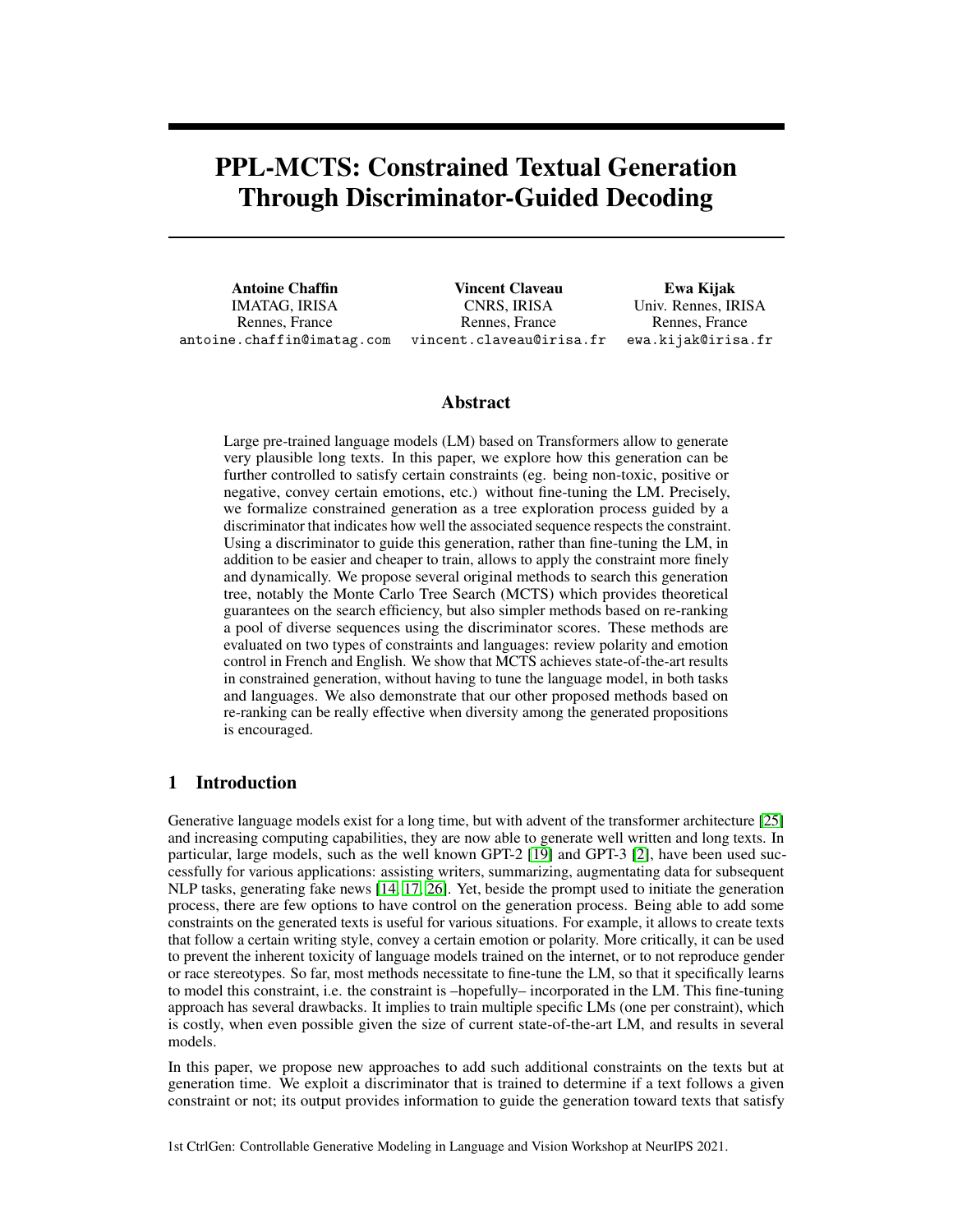# PPL-MCTS: Constrained Textual Generation Through Discriminator-Guided Decoding

Antoine Chaffin IMATAG, IRISA Rennes, France antoine.chaffin@imatag.com

Vincent Claveau CNRS, IRISA Rennes, France vincent.claveau@irisa.fr

Ewa Kijak Univ. Rennes, IRISA Rennes, France ewa.kijak@irisa.fr

## Abstract

Large pre-trained language models (LM) based on Transformers allow to generate very plausible long texts. In this paper, we explore how this generation can be further controlled to satisfy certain constraints (eg. being non-toxic, positive or negative, convey certain emotions, etc.) without fine-tuning the LM. Precisely, we formalize constrained generation as a tree exploration process guided by a discriminator that indicates how well the associated sequence respects the constraint. Using a discriminator to guide this generation, rather than fine-tuning the LM, in addition to be easier and cheaper to train, allows to apply the constraint more finely and dynamically. We propose several original methods to search this generation tree, notably the Monte Carlo Tree Search (MCTS) which provides theoretical guarantees on the search efficiency, but also simpler methods based on re-ranking a pool of diverse sequences using the discriminator scores. These methods are evaluated on two types of constraints and languages: review polarity and emotion control in French and English. We show that MCTS achieves state-of-the-art results in constrained generation, without having to tune the language model, in both tasks and languages. We also demonstrate that our other proposed methods based on re-ranking can be really effective when diversity among the generated propositions is encouraged.

# 1 Introduction

Generative language models exist for a long time, but with advent of the transformer architecture [\[25\]](#page-10-0) and increasing computing capabilities, they are now able to generate well written and long texts. In particular, large models, such as the well known GPT-2 [\[19\]](#page-10-1) and GPT-3 [\[2\]](#page-9-0), have been used successfully for various applications: assisting writers, summarizing, augmentating data for subsequent NLP tasks, generating fake news [\[14,](#page-10-2) [17,](#page-10-3) [26\]](#page-11-0). Yet, beside the prompt used to initiate the generation process, there are few options to have control on the generation process. Being able to add some constraints on the generated texts is useful for various situations. For example, it allows to create texts that follow a certain writing style, convey a certain emotion or polarity. More critically, it can be used to prevent the inherent toxicity of language models trained on the internet, or to not reproduce gender or race stereotypes. So far, most methods necessitate to fine-tune the LM, so that it specifically learns to model this constraint, i.e. the constraint is –hopefully– incorporated in the LM. This fine-tuning approach has several drawbacks. It implies to train multiple specific LMs (one per constraint), which is costly, when even possible given the size of current state-of-the-art LM, and results in several models.

In this paper, we propose new approaches to add such additional constraints on the texts but at generation time. We exploit a discriminator that is trained to determine if a text follows a given constraint or not; its output provides information to guide the generation toward texts that satisfy

1st CtrlGen: Controllable Generative Modeling in Language and Vision Workshop at NeurIPS 2021.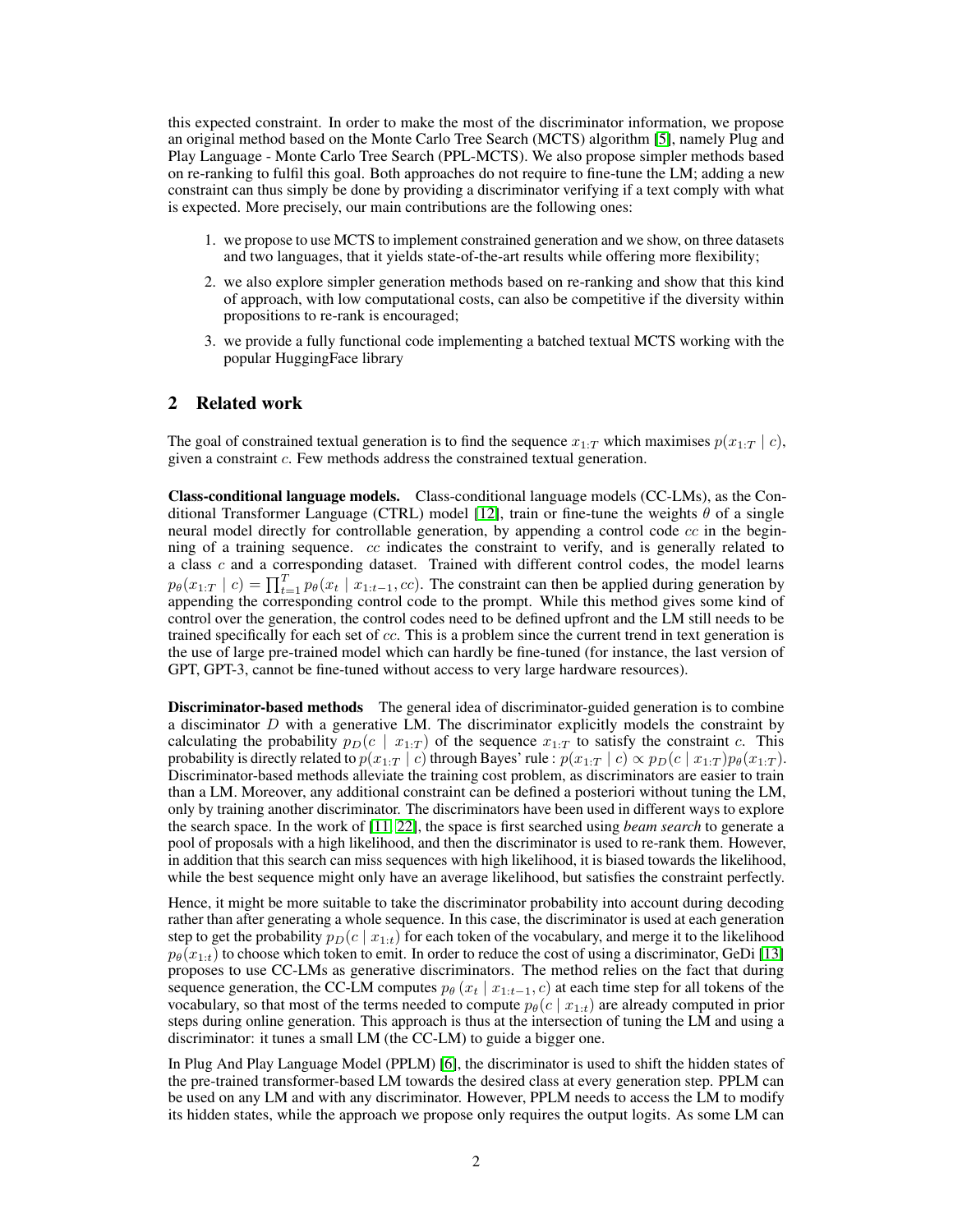this expected constraint. In order to make the most of the discriminator information, we propose an original method based on the Monte Carlo Tree Search (MCTS) algorithm [\[5\]](#page-9-1), namely Plug and Play Language - Monte Carlo Tree Search (PPL-MCTS). We also propose simpler methods based on re-ranking to fulfil this goal. Both approaches do not require to fine-tune the LM; adding a new constraint can thus simply be done by providing a discriminator verifying if a text comply with what is expected. More precisely, our main contributions are the following ones:

- 1. we propose to use MCTS to implement constrained generation and we show, on three datasets and two languages, that it yields state-of-the-art results while offering more flexibility;
- 2. we also explore simpler generation methods based on re-ranking and show that this kind of approach, with low computational costs, can also be competitive if the diversity within propositions to re-rank is encouraged;
- 3. we provide a fully functional code implementing a batched textual MCTS working with the popular HuggingFace library

# 2 Related work

The goal of constrained textual generation is to find the sequence  $x_{1:T}$  which maximises  $p(x_{1:T} | c)$ , given a constraint c. Few methods address the constrained textual generation.

Class-conditional language models. Class-conditional language models (CC-LMs), as the Con-ditional Transformer Language (CTRL) model [\[12\]](#page-9-2), train or fine-tune the weights  $\theta$  of a single neural model directly for controllable generation, by appending a control code  $cc$  in the beginning of a training sequence.  $cc$  indicates the constraint to verify, and is generally related to a class c and a corresponding dataset. Trained with different control codes, the model learns  $p_{\theta}(x_{1:T} | c) = \prod_{t=1}^{T} p_{\theta}(x_t | x_{1:t-1}, cc)$ . The constraint can then be applied during generation by appending the corresponding control code to the prompt. While this method gives some kind of control over the generation, the control codes need to be defined upfront and the LM still needs to be trained specifically for each set of cc. This is a problem since the current trend in text generation is the use of large pre-trained model which can hardly be fine-tuned (for instance, the last version of GPT, GPT-3, cannot be fine-tuned without access to very large hardware resources).

Discriminator-based methods The general idea of discriminator-guided generation is to combine a disciminator  $D$  with a generative LM. The discriminator explicitly models the constraint by calculating the probability  $p_D(c \mid x_{1:T})$  of the sequence  $x_{1:T}$  to satisfy the constraint c. This probability is directly related to  $p(x_{1:T} | c)$  through Bayes' rule :  $p(x_{1:T} | c) \propto p_D(c | x_{1:T})p_{\theta}(x_{1:T})$ . Discriminator-based methods alleviate the training cost problem, as discriminators are easier to train than a LM. Moreover, any additional constraint can be defined a posteriori without tuning the LM, only by training another discriminator. The discriminators have been used in different ways to explore the search space. In the work of [\[11,](#page-9-3) [22\]](#page-10-4), the space is first searched using *beam search* to generate a pool of proposals with a high likelihood, and then the discriminator is used to re-rank them. However, in addition that this search can miss sequences with high likelihood, it is biased towards the likelihood, while the best sequence might only have an average likelihood, but satisfies the constraint perfectly.

Hence, it might be more suitable to take the discriminator probability into account during decoding rather than after generating a whole sequence. In this case, the discriminator is used at each generation step to get the probability  $p_D(c \mid x_{1:t})$  for each token of the vocabulary, and merge it to the likelihood  $p_{\theta}(x_{1:t})$  to choose which token to emit. In order to reduce the cost of using a discriminator, GeDi [\[13\]](#page-10-5) proposes to use CC-LMs as generative discriminators. The method relies on the fact that during sequence generation, the CC-LM computes  $p_{\theta}$  ( $x_t | x_{1:t-1}, c$ ) at each time step for all tokens of the vocabulary, so that most of the terms needed to compute  $p_{\theta}(c | x_{1:t})$  are already computed in prior steps during online generation. This approach is thus at the intersection of tuning the LM and using a discriminator: it tunes a small LM (the CC-LM) to guide a bigger one.

In Plug And Play Language Model (PPLM) [\[6\]](#page-9-4), the discriminator is used to shift the hidden states of the pre-trained transformer-based LM towards the desired class at every generation step. PPLM can be used on any LM and with any discriminator. However, PPLM needs to access the LM to modify its hidden states, while the approach we propose only requires the output logits. As some LM can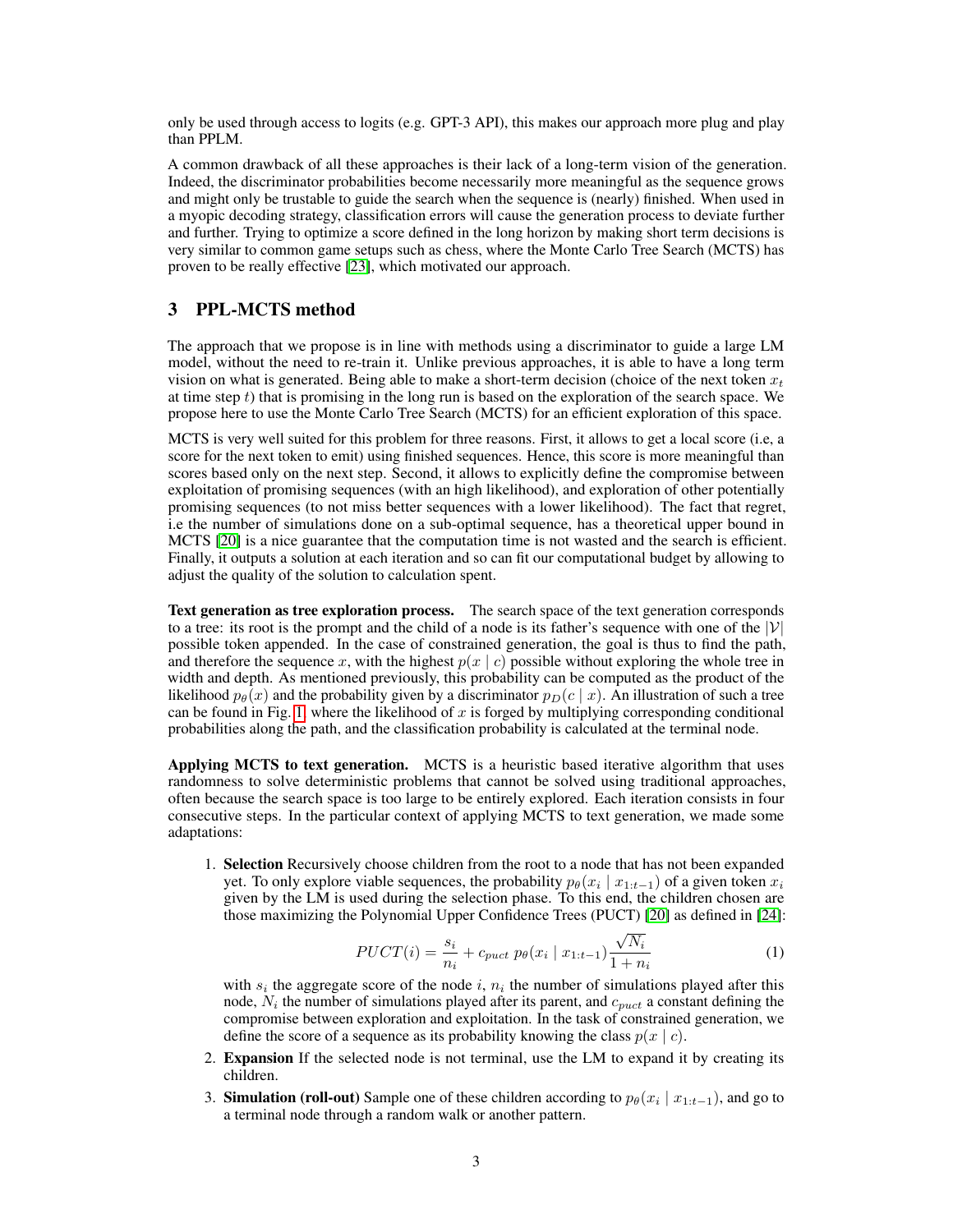only be used through access to logits (e.g. GPT-3 API), this makes our approach more plug and play than PPLM.

A common drawback of all these approaches is their lack of a long-term vision of the generation. Indeed, the discriminator probabilities become necessarily more meaningful as the sequence grows and might only be trustable to guide the search when the sequence is (nearly) finished. When used in a myopic decoding strategy, classification errors will cause the generation process to deviate further and further. Trying to optimize a score defined in the long horizon by making short term decisions is very similar to common game setups such as chess, where the Monte Carlo Tree Search (MCTS) has proven to be really effective [\[23\]](#page-10-6), which motivated our approach.

# 3 PPL-MCTS method

The approach that we propose is in line with methods using a discriminator to guide a large LM model, without the need to re-train it. Unlike previous approaches, it is able to have a long term vision on what is generated. Being able to make a short-term decision (choice of the next token  $x_t$ at time step  $t$ ) that is promising in the long run is based on the exploration of the search space. We propose here to use the Monte Carlo Tree Search (MCTS) for an efficient exploration of this space.

MCTS is very well suited for this problem for three reasons. First, it allows to get a local score (i.e, a score for the next token to emit) using finished sequences. Hence, this score is more meaningful than scores based only on the next step. Second, it allows to explicitly define the compromise between exploitation of promising sequences (with an high likelihood), and exploration of other potentially promising sequences (to not miss better sequences with a lower likelihood). The fact that regret, i.e the number of simulations done on a sub-optimal sequence, has a theoretical upper bound in MCTS [\[20\]](#page-10-7) is a nice guarantee that the computation time is not wasted and the search is efficient. Finally, it outputs a solution at each iteration and so can fit our computational budget by allowing to adjust the quality of the solution to calculation spent.

Text generation as tree exploration process. The search space of the text generation corresponds to a tree: its root is the prompt and the child of a node is its father's sequence with one of the  $|V|$ possible token appended. In the case of constrained generation, the goal is thus to find the path, and therefore the sequence x, with the highest  $p(x \mid c)$  possible without exploring the whole tree in width and depth. As mentioned previously, this probability can be computed as the product of the likelihood  $p_{\theta}(x)$  and the probability given by a discriminator  $p_D(c | x)$ . An illustration of such a tree can be found in Fig. [1,](#page-3-0) where the likelihood of x is forged by multiplying corresponding conditional probabilities along the path, and the classification probability is calculated at the terminal node.

Applying MCTS to text generation. MCTS is a heuristic based iterative algorithm that uses randomness to solve deterministic problems that cannot be solved using traditional approaches, often because the search space is too large to be entirely explored. Each iteration consists in four consecutive steps. In the particular context of applying MCTS to text generation, we made some adaptations:

1. Selection Recursively choose children from the root to a node that has not been expanded yet. To only explore viable sequences, the probability  $p_{\theta}(x_i \mid x_{1:t-1})$  of a given token  $x_i$ given by the LM is used during the selection phase. To this end, the children chosen are those maximizing the Polynomial Upper Confidence Trees (PUCT) [\[20\]](#page-10-7) as defined in [\[24\]](#page-10-8):

<span id="page-2-0"></span>
$$
PUCT(i) = \frac{s_i}{n_i} + c_{puct} p_{\theta}(x_i \mid x_{1:t-1}) \frac{\sqrt{N_i}}{1 + n_i}
$$
 (1)

with  $s_i$  the aggregate score of the node i,  $n_i$  the number of simulations played after this node,  $N_i$  the number of simulations played after its parent, and  $c_{puct}$  a constant defining the compromise between exploration and exploitation. In the task of constrained generation, we define the score of a sequence as its probability knowing the class  $p(x \mid c)$ .

- 2. Expansion If the selected node is not terminal, use the LM to expand it by creating its children.
- 3. Simulation (roll-out) Sample one of these children according to  $p_{\theta}(x_i | x_{1:t-1})$ , and go to a terminal node through a random walk or another pattern.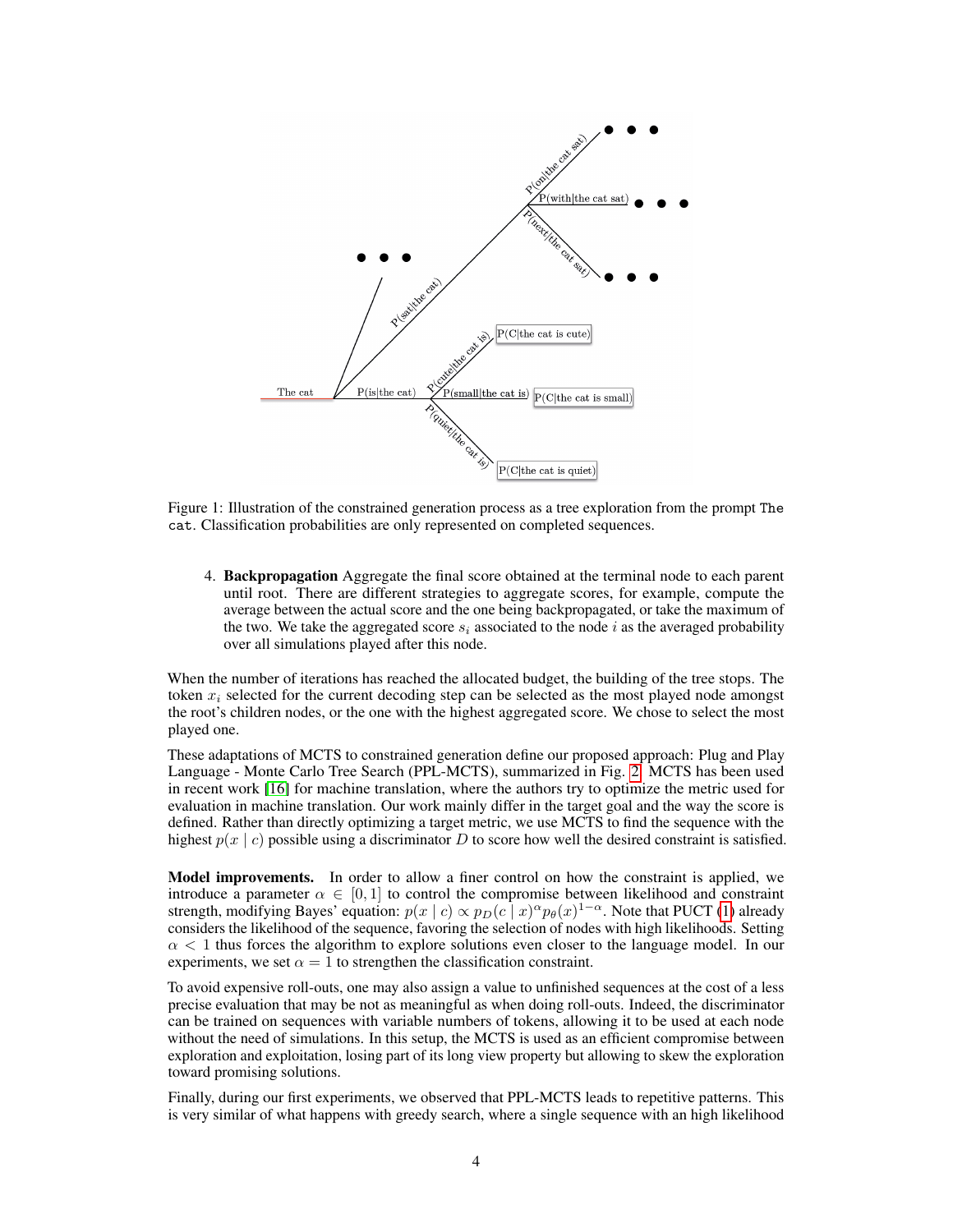

<span id="page-3-0"></span>Figure 1: Illustration of the constrained generation process as a tree exploration from the prompt The cat. Classification probabilities are only represented on completed sequences.

4. Backpropagation Aggregate the final score obtained at the terminal node to each parent until root. There are different strategies to aggregate scores, for example, compute the average between the actual score and the one being backpropagated, or take the maximum of the two. We take the aggregated score  $s_i$  associated to the node i as the averaged probability over all simulations played after this node.

When the number of iterations has reached the allocated budget, the building of the tree stops. The token  $x_i$  selected for the current decoding step can be selected as the most played node amongst the root's children nodes, or the one with the highest aggregated score. We chose to select the most played one.

These adaptations of MCTS to constrained generation define our proposed approach: Plug and Play Language - Monte Carlo Tree Search (PPL-MCTS), summarized in Fig. [2.](#page-4-0) MCTS has been used in recent work [\[16\]](#page-10-9) for machine translation, where the authors try to optimize the metric used for evaluation in machine translation. Our work mainly differ in the target goal and the way the score is defined. Rather than directly optimizing a target metric, we use MCTS to find the sequence with the highest  $p(x \mid c)$  possible using a discriminator D to score how well the desired constraint is satisfied.

Model improvements. In order to allow a finer control on how the constraint is applied, we introduce a parameter  $\alpha \in [0, 1]$  to control the compromise between likelihood and constraint strength, modifying Bayes' equation:  $p(x \mid c) \propto p_D(c \mid x)^{\alpha} p_{\theta}(x)^{1-\alpha}$ . Note that PUCT [\(1\)](#page-2-0) already considers the likelihood of the sequence, favoring the selection of nodes with high likelihoods. Setting  $\alpha$  < 1 thus forces the algorithm to explore solutions even closer to the language model. In our experiments, we set  $\alpha = 1$  to strengthen the classification constraint.

To avoid expensive roll-outs, one may also assign a value to unfinished sequences at the cost of a less precise evaluation that may be not as meaningful as when doing roll-outs. Indeed, the discriminator can be trained on sequences with variable numbers of tokens, allowing it to be used at each node without the need of simulations. In this setup, the MCTS is used as an efficient compromise between exploration and exploitation, losing part of its long view property but allowing to skew the exploration toward promising solutions.

Finally, during our first experiments, we observed that PPL-MCTS leads to repetitive patterns. This is very similar of what happens with greedy search, where a single sequence with an high likelihood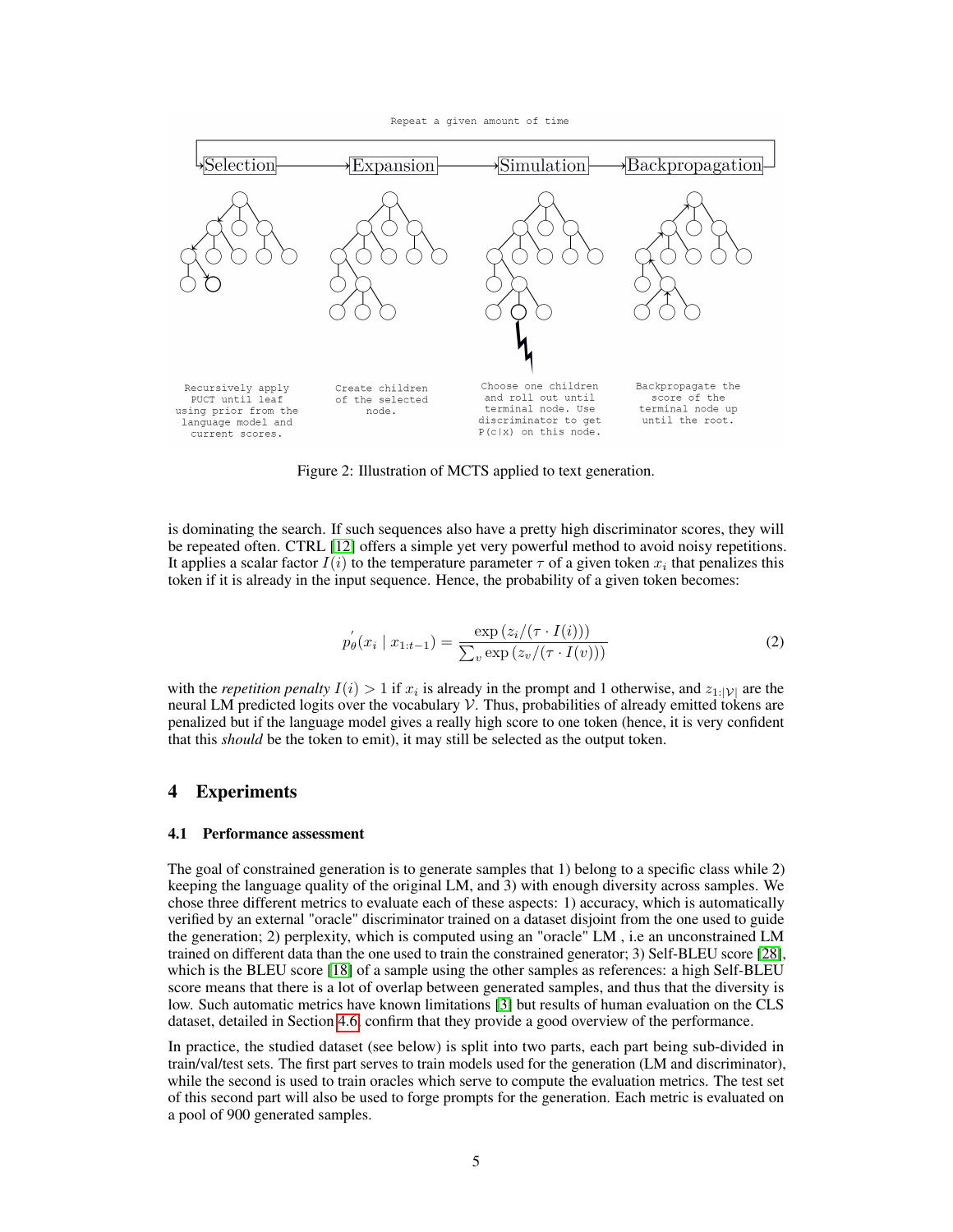Repeat a given amount of time



<span id="page-4-0"></span>Figure 2: Illustration of MCTS applied to text generation.

is dominating the search. If such sequences also have a pretty high discriminator scores, they will be repeated often. CTRL [\[12\]](#page-9-2) offers a simple yet very powerful method to avoid noisy repetitions. It applies a scalar factor  $I(i)$  to the temperature parameter  $\tau$  of a given token  $x_i$  that penalizes this token if it is already in the input sequence. Hence, the probability of a given token becomes:

$$
p_{\theta}^{'}(x_i \mid x_{1:t-1}) = \frac{\exp(z_i/(\tau \cdot I(i)))}{\sum_{v} \exp(z_v/(\tau \cdot I(v)))}
$$
\n(2)

with the *repetition penalty*  $I(i) > 1$  if  $x_i$  is already in the prompt and 1 otherwise, and  $z_{1:|\mathcal{V}|}$  are the neural LM predicted logits over the vocabulary  $V$ . Thus, probabilities of already emitted tokens are penalized but if the language model gives a really high score to one token (hence, it is very confident that this *should* be the token to emit), it may still be selected as the output token.

### 4 Experiments

#### 4.1 Performance assessment

The goal of constrained generation is to generate samples that 1) belong to a specific class while 2) keeping the language quality of the original LM, and 3) with enough diversity across samples. We chose three different metrics to evaluate each of these aspects: 1) accuracy, which is automatically verified by an external "oracle" discriminator trained on a dataset disjoint from the one used to guide the generation; 2) perplexity, which is computed using an "oracle" LM , i.e an unconstrained LM trained on different data than the one used to train the constrained generator; 3) Self-BLEU score [\[28\]](#page-11-1), which is the BLEU score [\[18\]](#page-10-10) of a sample using the other samples as references: a high Self-BLEU score means that there is a lot of overlap between generated samples, and thus that the diversity is low. Such automatic metrics have known limitations [\[3\]](#page-9-5) but results of human evaluation on the CLS dataset, detailed in Section [4.6,](#page-6-0) confirm that they provide a good overview of the performance.

In practice, the studied dataset (see below) is split into two parts, each part being sub-divided in train/val/test sets. The first part serves to train models used for the generation (LM and discriminator), while the second is used to train oracles which serve to compute the evaluation metrics. The test set of this second part will also be used to forge prompts for the generation. Each metric is evaluated on a pool of 900 generated samples.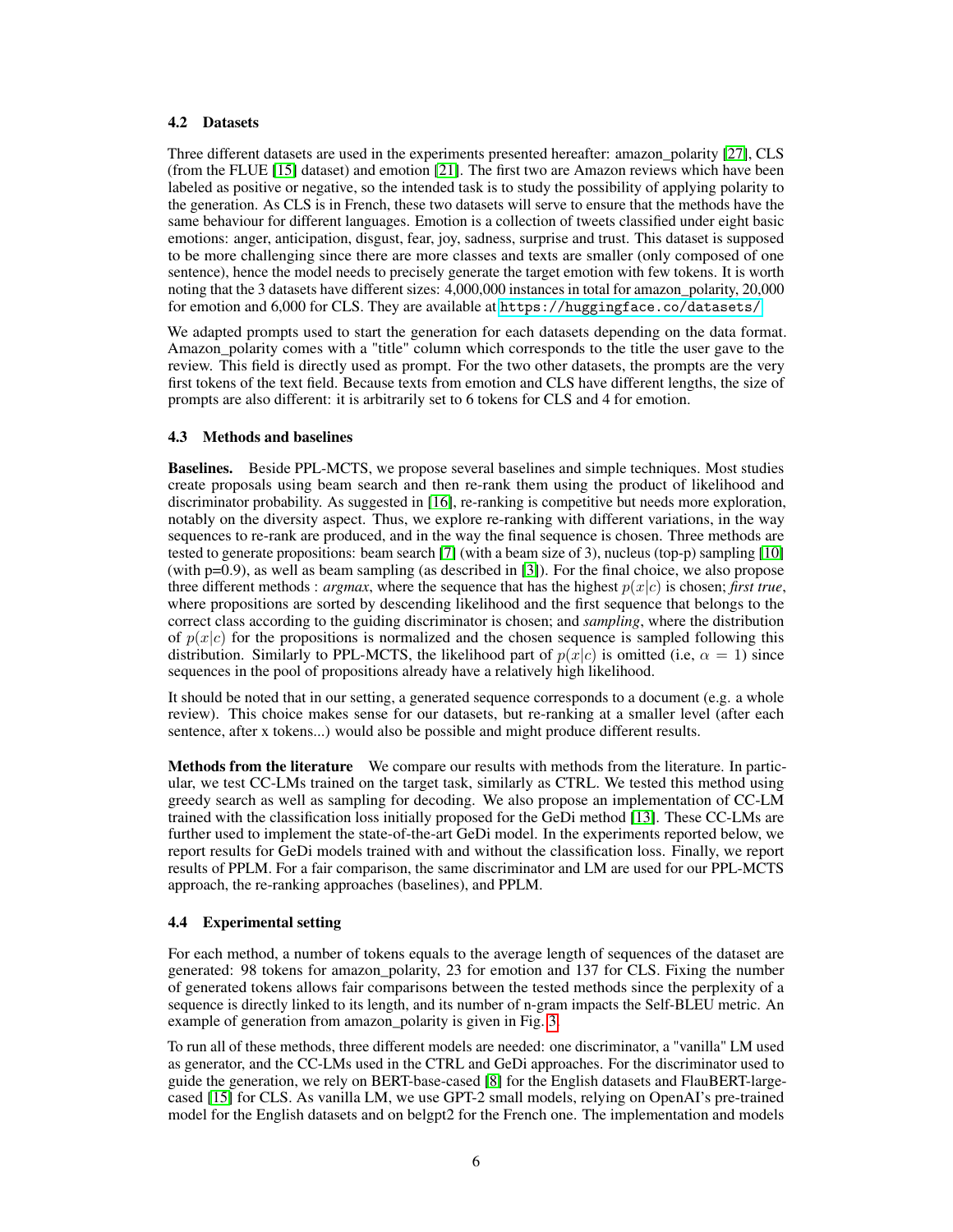# 4.2 Datasets

Three different datasets are used in the experiments presented hereafter: amazon\_polarity [\[27\]](#page-11-2), CLS (from the FLUE [\[15\]](#page-10-11) dataset) and emotion [\[21\]](#page-10-12). The first two are Amazon reviews which have been labeled as positive or negative, so the intended task is to study the possibility of applying polarity to the generation. As CLS is in French, these two datasets will serve to ensure that the methods have the same behaviour for different languages. Emotion is a collection of tweets classified under eight basic emotions: anger, anticipation, disgust, fear, joy, sadness, surprise and trust. This dataset is supposed to be more challenging since there are more classes and texts are smaller (only composed of one sentence), hence the model needs to precisely generate the target emotion with few tokens. It is worth noting that the 3 datasets have different sizes: 4,000,000 instances in total for amazon\_polarity, 20,000 for emotion and 6,000 for CLS. They are available at <https://huggingface.co/datasets/>.

We adapted prompts used to start the generation for each datasets depending on the data format. Amazon polarity comes with a "title" column which corresponds to the title the user gave to the review. This field is directly used as prompt. For the two other datasets, the prompts are the very first tokens of the text field. Because texts from emotion and CLS have different lengths, the size of prompts are also different: it is arbitrarily set to 6 tokens for CLS and 4 for emotion.

### 4.3 Methods and baselines

Baselines. Beside PPL-MCTS, we propose several baselines and simple techniques. Most studies create proposals using beam search and then re-rank them using the product of likelihood and discriminator probability. As suggested in [\[16\]](#page-10-9), re-ranking is competitive but needs more exploration, notably on the diversity aspect. Thus, we explore re-ranking with different variations, in the way sequences to re-rank are produced, and in the way the final sequence is chosen. Three methods are tested to generate propositions: beam search [\[7\]](#page-9-6) (with a beam size of 3), nucleus (top-p) sampling [\[10\]](#page-9-7) (with p=0.9), as well as beam sampling (as described in [\[3\]](#page-9-5)). For the final choice, we also propose three different methods : *argmax*, where the sequence that has the highest  $p(x|c)$  is chosen; *first true*, where propositions are sorted by descending likelihood and the first sequence that belongs to the correct class according to the guiding discriminator is chosen; and *sampling*, where the distribution of  $p(x|c)$  for the propositions is normalized and the chosen sequence is sampled following this distribution. Similarly to PPL-MCTS, the likelihood part of  $p(x|c)$  is omitted (i.e,  $\alpha = 1$ ) since sequences in the pool of propositions already have a relatively high likelihood.

It should be noted that in our setting, a generated sequence corresponds to a document (e.g. a whole review). This choice makes sense for our datasets, but re-ranking at a smaller level (after each sentence, after x tokens...) would also be possible and might produce different results.

Methods from the literature We compare our results with methods from the literature. In particular, we test CC-LMs trained on the target task, similarly as CTRL. We tested this method using greedy search as well as sampling for decoding. We also propose an implementation of CC-LM trained with the classification loss initially proposed for the GeDi method [\[13\]](#page-10-5). These CC-LMs are further used to implement the state-of-the-art GeDi model. In the experiments reported below, we report results for GeDi models trained with and without the classification loss. Finally, we report results of PPLM. For a fair comparison, the same discriminator and LM are used for our PPL-MCTS approach, the re-ranking approaches (baselines), and PPLM.

### 4.4 Experimental setting

For each method, a number of tokens equals to the average length of sequences of the dataset are generated: 98 tokens for amazon\_polarity, 23 for emotion and 137 for CLS. Fixing the number of generated tokens allows fair comparisons between the tested methods since the perplexity of a sequence is directly linked to its length, and its number of n-gram impacts the Self-BLEU metric. An example of generation from amazon polarity is given in Fig. [3.](#page-6-1)

To run all of these methods, three different models are needed: one discriminator, a "vanilla" LM used as generator, and the CC-LMs used in the CTRL and GeDi approaches. For the discriminator used to guide the generation, we rely on BERT-base-cased [\[8\]](#page-9-8) for the English datasets and FlauBERT-largecased [\[15\]](#page-10-11) for CLS. As vanilla LM, we use GPT-2 small models, relying on OpenAI's pre-trained model for the English datasets and on belgpt2 for the French one. The implementation and models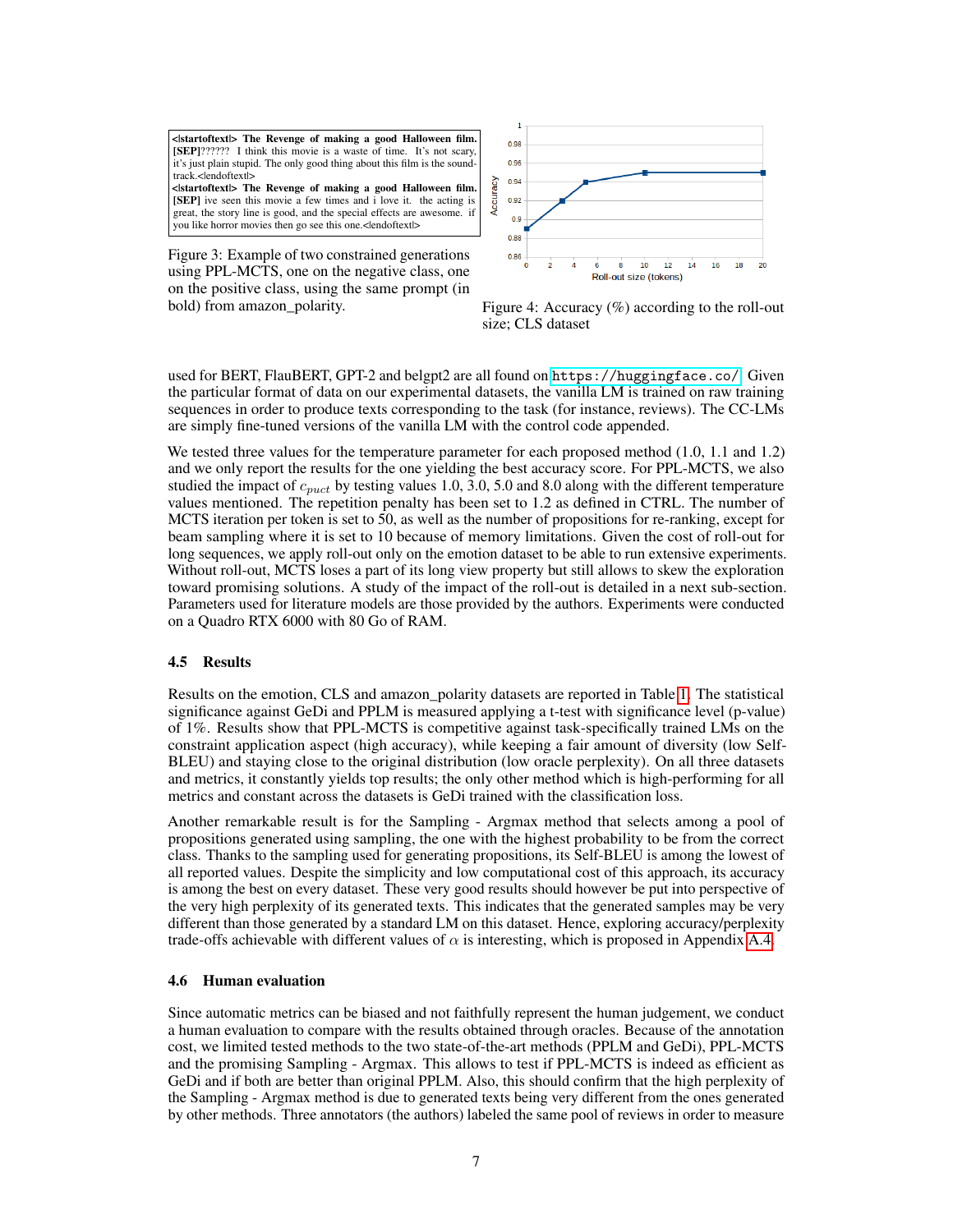<|startoftext|> The Revenge of making a good Halloween film. [SEP]?????? I think this movie is a waste of time. It's not scary, it's just plain stupid. The only good thing about this film is the soundtrack.<lendoftextl> <|startoftext|> The Revenge of making a good Halloween film. [SEP] ive seen this movie a few times and i love it. the acting is great, the story line is good, and the special effects are awesome. if you like horror movies then go see this one.< lendoftextl>

<span id="page-6-1"></span>Figure 3: Example of two constrained generations using PPL-MCTS, one on the negative class, one on the positive class, using the same prompt (in

<span id="page-6-2"></span>

bold) from amazon\_polarity. Figure 4: Accuracy (%) according to the roll-out size; CLS dataset

used for BERT, FlauBERT, GPT-2 and belgpt2 are all found on <https://huggingface.co/>. Given the particular format of data on our experimental datasets, the vanilla LM is trained on raw training sequences in order to produce texts corresponding to the task (for instance, reviews). The CC-LMs are simply fine-tuned versions of the vanilla LM with the control code appended.

We tested three values for the temperature parameter for each proposed method  $(1.0, 1.1$  and  $1.2)$ and we only report the results for the one yielding the best accuracy score. For PPL-MCTS, we also studied the impact of  $c_{puct}$  by testing values 1.0, 3.0, 5.0 and 8.0 along with the different temperature values mentioned. The repetition penalty has been set to 1.2 as defined in CTRL. The number of MCTS iteration per token is set to 50, as well as the number of propositions for re-ranking, except for beam sampling where it is set to 10 because of memory limitations. Given the cost of roll-out for long sequences, we apply roll-out only on the emotion dataset to be able to run extensive experiments. Without roll-out, MCTS loses a part of its long view property but still allows to skew the exploration toward promising solutions. A study of the impact of the roll-out is detailed in a next sub-section. Parameters used for literature models are those provided by the authors. Experiments were conducted on a Quadro RTX 6000 with 80 Go of RAM.

### 4.5 Results

Results on the emotion, CLS and amazon\_polarity datasets are reported in Table [1.](#page-7-0) The statistical significance against GeDi and PPLM is measured applying a t-test with significance level (p-value) of 1%. Results show that PPL-MCTS is competitive against task-specifically trained LMs on the constraint application aspect (high accuracy), while keeping a fair amount of diversity (low Self-BLEU) and staying close to the original distribution (low oracle perplexity). On all three datasets and metrics, it constantly yields top results; the only other method which is high-performing for all metrics and constant across the datasets is GeDi trained with the classification loss.

Another remarkable result is for the Sampling - Argmax method that selects among a pool of propositions generated using sampling, the one with the highest probability to be from the correct class. Thanks to the sampling used for generating propositions, its Self-BLEU is among the lowest of all reported values. Despite the simplicity and low computational cost of this approach, its accuracy is among the best on every dataset. These very good results should however be put into perspective of the very high perplexity of its generated texts. This indicates that the generated samples may be very different than those generated by a standard LM on this dataset. Hence, exploring accuracy/perplexity trade-offs achievable with different values of  $\alpha$  is interesting, which is proposed in Appendix [A.4.](#page-12-0)

### <span id="page-6-0"></span>4.6 Human evaluation

Since automatic metrics can be biased and not faithfully represent the human judgement, we conduct a human evaluation to compare with the results obtained through oracles. Because of the annotation cost, we limited tested methods to the two state-of-the-art methods (PPLM and GeDi), PPL-MCTS and the promising Sampling - Argmax. This allows to test if PPL-MCTS is indeed as efficient as GeDi and if both are better than original PPLM. Also, this should confirm that the high perplexity of the Sampling - Argmax method is due to generated texts being very different from the ones generated by other methods. Three annotators (the authors) labeled the same pool of reviews in order to measure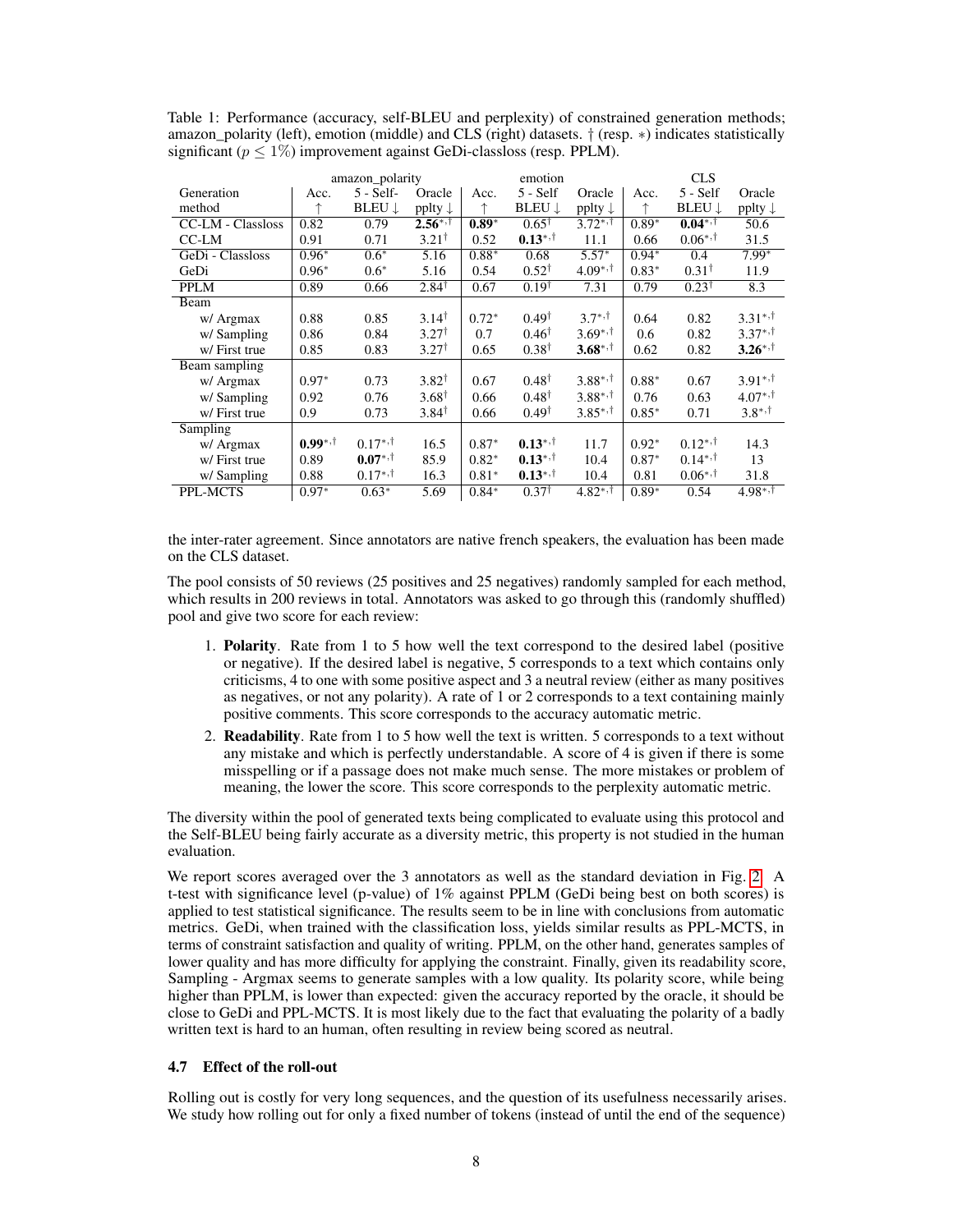|                   | amazon_polarity<br>emotion |               |                    |         | <b>CLS</b>       |                    |         |                  |                    |
|-------------------|----------------------------|---------------|--------------------|---------|------------------|--------------------|---------|------------------|--------------------|
| Generation        | Acc.                       | $5 - Self$    | Oracle             | Acc.    | $5 - Self$       | Oracle             | Acc.    | $5 - Self$       | Oracle             |
| method            | ↑                          | <b>BLEU</b> ↓ | pplty $\downarrow$ |         | <b>BLEU</b> ↓    | pplty $\downarrow$ |         | <b>BLEU</b> J    | pplty $\downarrow$ |
| CC-LM - Classloss | 0.82                       | 0.79          | $2.56^{*,+}$       | $0.89*$ | $0.65^{\dagger}$ | $3.72^{*,+}$       | $0.89*$ | $0.04^{*,+}$     | 50.6               |
| $C$ C-LM          | 0.91                       | 0.71          | $3.21^{\dagger}$   | 0.52    | $0.13^{*,+}$     | 11.1               | 0.66    | $0.06^{*,+}$     | 31.5               |
| GeDi - Classloss  | $0.96*$                    | $0.6*$        | 5.16               | $0.88*$ | 0.68             | $5.57*$            | $0.94*$ | 0.4              | $7.99*$            |
| GeDi              | $0.96*$                    | $0.6*$        | 5.16               | 0.54    | $0.52^{\dagger}$ | $4.09^{*,+}$       | $0.83*$ | $0.31^{\dagger}$ | 11.9               |
| <b>PPLM</b>       | 0.89                       | 0.66          | $2.84^{\dagger}$   | 0.67    | $0.19^{\dagger}$ | 7.31               | 0.79    | $0.23^{\dagger}$ | 8.3                |
| Beam              |                            |               |                    |         |                  |                    |         |                  |                    |
| w/ Argmax         | 0.88                       | 0.85          | $3.14^{\dagger}$   | $0.72*$ | $0.49^{\dagger}$ | $3.7^{*,+}$        | 0.64    | 0.82             | $3.31^{*,+}$       |
| w/Sampling        | 0.86                       | 0.84          | $3.27^{\dagger}$   | 0.7     | $0.46^{\dagger}$ | $3.69^{*,+}$       | 0.6     | 0.82             | $3.37^{*,+}$       |
| w/First true      | 0.85                       | 0.83          | $3.27^{\dagger}$   | 0.65    | $0.38^{\dagger}$ | $3.68^{*,+}$       | 0.62    | 0.82             | $3.26^{*,+}$       |
| Beam sampling     |                            |               |                    |         |                  |                    |         |                  |                    |
| w/ Argmax         | $0.97*$                    | 0.73          | $3.82^{\dagger}$   | 0.67    | $0.48^{\dagger}$ | $3.88^{*,+}$       | $0.88*$ | 0.67             | $3.91^{*,+}$       |
| w/Sampling        | 0.92                       | 0.76          | $3.68^{\dagger}$   | 0.66    | $0.48^{\dagger}$ | $3.88^{*,+}$       | 0.76    | 0.63             | $4.07^{*,+}$       |
| w/First true      | 0.9                        | 0.73          | $3.84^{\dagger}$   | 0.66    | $0.49^{\dagger}$ | $3.85^{*,+}$       | $0.85*$ | 0.71             | $3.8^{*,+}$        |
| Sampling          |                            |               |                    |         |                  |                    |         |                  |                    |
| w/ Argmax         | $0.99$ *,†                 | $0.17^{*,+}$  | 16.5               | $0.87*$ | $0.13^{*,+}$     | 11.7               | $0.92*$ | $0.12^{*,+}$     | 14.3               |
| w/First true      | 0.89                       | $0.07^{*,+}$  | 85.9               | $0.82*$ | $0.13^{*,+}$     | 10.4               | $0.87*$ | $0.14^{*,+}$     | 13                 |
| w/ Sampling       | 0.88                       | $0.17^{*,+}$  | 16.3               | $0.81*$ | $0.13^{*,+}$     | 10.4               | 0.81    | $0.06^{*,+}$     | 31.8               |
| PPL-MCTS          | $0.97*$                    | $0.63*$       | 5.69               | $0.84*$ | $0.37^{\dagger}$ | $4.82^{*,+}$       | $0.89*$ | 0.54             | $4.98^{*,+}$       |

<span id="page-7-0"></span>Table 1: Performance (accuracy, self-BLEU and perplexity) of constrained generation methods; amazon\_polarity (left), emotion (middle) and CLS (right) datasets. † (resp. ∗) indicates statistically significant ( $p < 1\%$ ) improvement against GeDi-classloss (resp. PPLM).

the inter-rater agreement. Since annotators are native french speakers, the evaluation has been made on the CLS dataset.

The pool consists of 50 reviews (25 positives and 25 negatives) randomly sampled for each method, which results in 200 reviews in total. Annotators was asked to go through this (randomly shuffled) pool and give two score for each review:

- 1. Polarity. Rate from 1 to 5 how well the text correspond to the desired label (positive or negative). If the desired label is negative, 5 corresponds to a text which contains only criticisms, 4 to one with some positive aspect and 3 a neutral review (either as many positives as negatives, or not any polarity). A rate of 1 or 2 corresponds to a text containing mainly positive comments. This score corresponds to the accuracy automatic metric.
- 2. Readability. Rate from 1 to 5 how well the text is written. 5 corresponds to a text without any mistake and which is perfectly understandable. A score of 4 is given if there is some misspelling or if a passage does not make much sense. The more mistakes or problem of meaning, the lower the score. This score corresponds to the perplexity automatic metric.

The diversity within the pool of generated texts being complicated to evaluate using this protocol and the Self-BLEU being fairly accurate as a diversity metric, this property is not studied in the human evaluation.

We report scores averaged over the 3 annotators as well as the standard deviation in Fig. [2.](#page-8-0) A t-test with significance level (p-value) of 1% against PPLM (GeDi being best on both scores) is applied to test statistical significance. The results seem to be in line with conclusions from automatic metrics. GeDi, when trained with the classification loss, yields similar results as PPL-MCTS, in terms of constraint satisfaction and quality of writing. PPLM, on the other hand, generates samples of lower quality and has more difficulty for applying the constraint. Finally, given its readability score, Sampling - Argmax seems to generate samples with a low quality. Its polarity score, while being higher than PPLM, is lower than expected: given the accuracy reported by the oracle, it should be close to GeDi and PPL-MCTS. It is most likely due to the fact that evaluating the polarity of a badly written text is hard to an human, often resulting in review being scored as neutral.

### 4.7 Effect of the roll-out

Rolling out is costly for very long sequences, and the question of its usefulness necessarily arises. We study how rolling out for only a fixed number of tokens (instead of until the end of the sequence)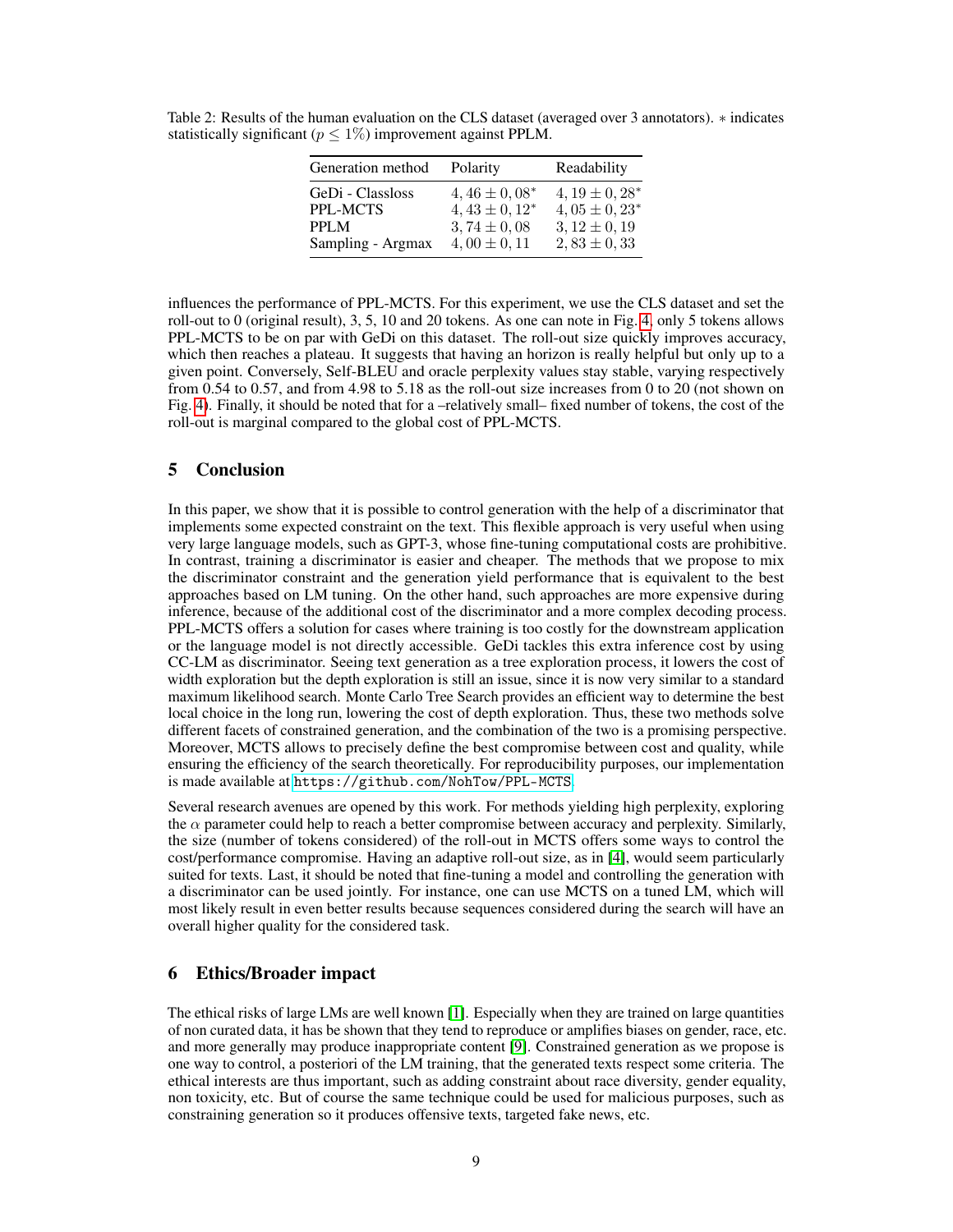| Generation method | Polarity          | Readability         |
|-------------------|-------------------|---------------------|
| GeDi - Classloss  | $4,46 \pm 0,08^*$ | $4, 19 \pm 0, 28^*$ |
| <b>PPL-MCTS</b>   | $4,43 \pm 0,12^*$ | $4,05 \pm 0,23^*$   |
| PPLM              | $3,74 \pm 0,08$   | $3, 12 \pm 0, 19$   |
| Sampling - Argmax | $4,00 \pm 0,11$   | $2,83 \pm 0,33$     |

<span id="page-8-0"></span>Table 2: Results of the human evaluation on the CLS dataset (averaged over 3 annotators). ∗ indicates statistically significant ( $p \leq 1\%$ ) improvement against PPLM.

influences the performance of PPL-MCTS. For this experiment, we use the CLS dataset and set the roll-out to 0 (original result), 3, 5, 10 and 20 tokens. As one can note in Fig. [4,](#page-6-2) only 5 tokens allows PPL-MCTS to be on par with GeDi on this dataset. The roll-out size quickly improves accuracy, which then reaches a plateau. It suggests that having an horizon is really helpful but only up to a given point. Conversely, Self-BLEU and oracle perplexity values stay stable, varying respectively from 0.54 to 0.57, and from 4.98 to 5.18 as the roll-out size increases from 0 to 20 (not shown on Fig. [4\)](#page-6-2). Finally, it should be noted that for a –relatively small– fixed number of tokens, the cost of the roll-out is marginal compared to the global cost of PPL-MCTS.

# 5 Conclusion

In this paper, we show that it is possible to control generation with the help of a discriminator that implements some expected constraint on the text. This flexible approach is very useful when using very large language models, such as GPT-3, whose fine-tuning computational costs are prohibitive. In contrast, training a discriminator is easier and cheaper. The methods that we propose to mix the discriminator constraint and the generation yield performance that is equivalent to the best approaches based on LM tuning. On the other hand, such approaches are more expensive during inference, because of the additional cost of the discriminator and a more complex decoding process. PPL-MCTS offers a solution for cases where training is too costly for the downstream application or the language model is not directly accessible. GeDi tackles this extra inference cost by using CC-LM as discriminator. Seeing text generation as a tree exploration process, it lowers the cost of width exploration but the depth exploration is still an issue, since it is now very similar to a standard maximum likelihood search. Monte Carlo Tree Search provides an efficient way to determine the best local choice in the long run, lowering the cost of depth exploration. Thus, these two methods solve different facets of constrained generation, and the combination of the two is a promising perspective. Moreover, MCTS allows to precisely define the best compromise between cost and quality, while ensuring the efficiency of the search theoretically. For reproducibility purposes, our implementation is made available at <https://github.com/NohTow/PPL-MCTS>.

Several research avenues are opened by this work. For methods yielding high perplexity, exploring the  $\alpha$  parameter could help to reach a better compromise between accuracy and perplexity. Similarly, the size (number of tokens considered) of the roll-out in MCTS offers some ways to control the cost/performance compromise. Having an adaptive roll-out size, as in [\[4\]](#page-9-9), would seem particularly suited for texts. Last, it should be noted that fine-tuning a model and controlling the generation with a discriminator can be used jointly. For instance, one can use MCTS on a tuned LM, which will most likely result in even better results because sequences considered during the search will have an overall higher quality for the considered task.

# 6 Ethics/Broader impact

The ethical risks of large LMs are well known [\[1\]](#page-9-10). Especially when they are trained on large quantities of non curated data, it has be shown that they tend to reproduce or amplifies biases on gender, race, etc. and more generally may produce inappropriate content [\[9\]](#page-9-11). Constrained generation as we propose is one way to control, a posteriori of the LM training, that the generated texts respect some criteria. The ethical interests are thus important, such as adding constraint about race diversity, gender equality, non toxicity, etc. But of course the same technique could be used for malicious purposes, such as constraining generation so it produces offensive texts, targeted fake news, etc.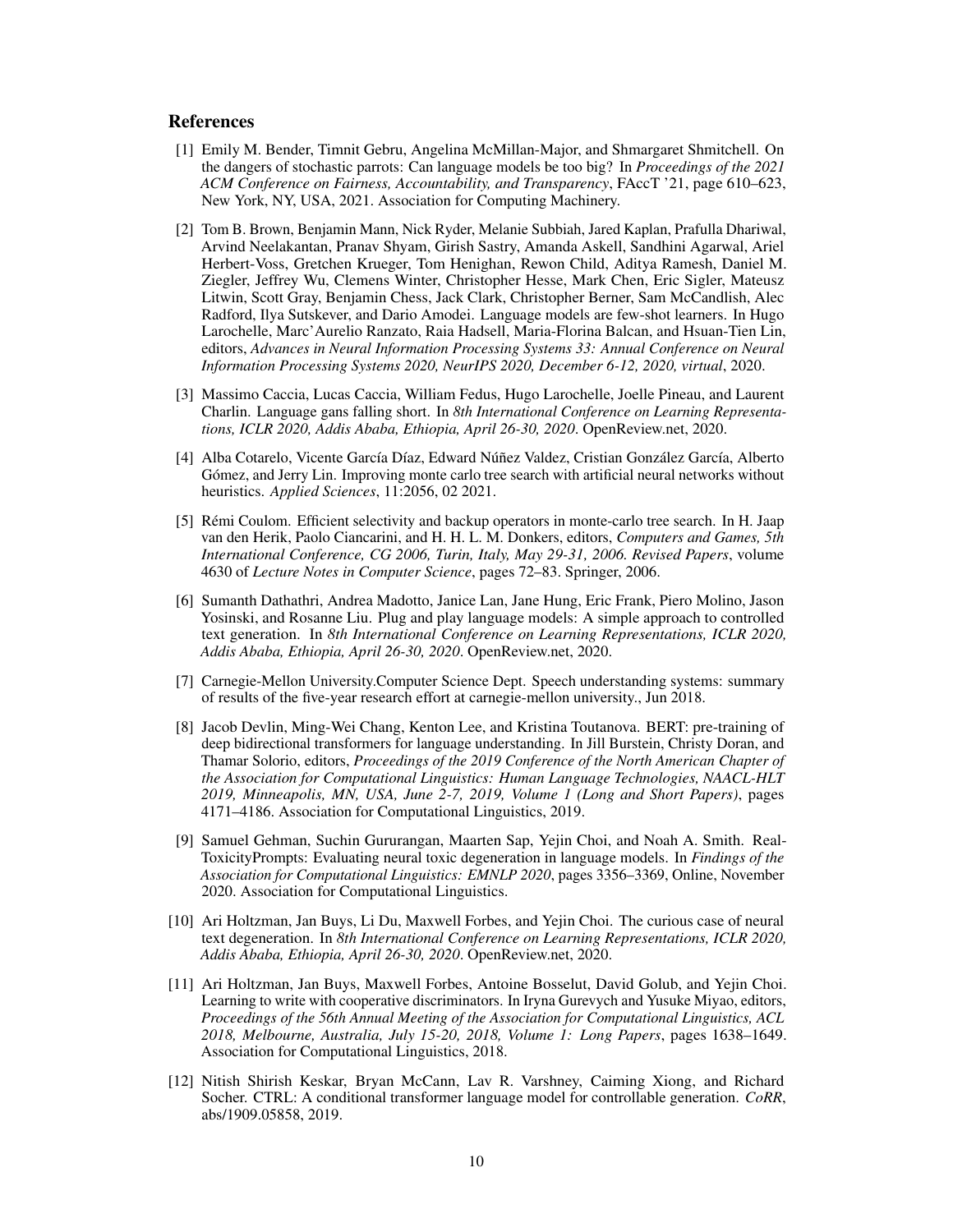### References

- <span id="page-9-10"></span>[1] Emily M. Bender, Timnit Gebru, Angelina McMillan-Major, and Shmargaret Shmitchell. On the dangers of stochastic parrots: Can language models be too big? In *Proceedings of the 2021 ACM Conference on Fairness, Accountability, and Transparency*, FAccT '21, page 610–623, New York, NY, USA, 2021. Association for Computing Machinery.
- <span id="page-9-0"></span>[2] Tom B. Brown, Benjamin Mann, Nick Ryder, Melanie Subbiah, Jared Kaplan, Prafulla Dhariwal, Arvind Neelakantan, Pranav Shyam, Girish Sastry, Amanda Askell, Sandhini Agarwal, Ariel Herbert-Voss, Gretchen Krueger, Tom Henighan, Rewon Child, Aditya Ramesh, Daniel M. Ziegler, Jeffrey Wu, Clemens Winter, Christopher Hesse, Mark Chen, Eric Sigler, Mateusz Litwin, Scott Gray, Benjamin Chess, Jack Clark, Christopher Berner, Sam McCandlish, Alec Radford, Ilya Sutskever, and Dario Amodei. Language models are few-shot learners. In Hugo Larochelle, Marc'Aurelio Ranzato, Raia Hadsell, Maria-Florina Balcan, and Hsuan-Tien Lin, editors, *Advances in Neural Information Processing Systems 33: Annual Conference on Neural Information Processing Systems 2020, NeurIPS 2020, December 6-12, 2020, virtual*, 2020.
- <span id="page-9-5"></span>[3] Massimo Caccia, Lucas Caccia, William Fedus, Hugo Larochelle, Joelle Pineau, and Laurent Charlin. Language gans falling short. In *8th International Conference on Learning Representations, ICLR 2020, Addis Ababa, Ethiopia, April 26-30, 2020*. OpenReview.net, 2020.
- <span id="page-9-9"></span>[4] Alba Cotarelo, Vicente García Díaz, Edward Núñez Valdez, Cristian González García, Alberto Gómez, and Jerry Lin. Improving monte carlo tree search with artificial neural networks without heuristics. *Applied Sciences*, 11:2056, 02 2021.
- <span id="page-9-1"></span>[5] Rémi Coulom. Efficient selectivity and backup operators in monte-carlo tree search. In H. Jaap van den Herik, Paolo Ciancarini, and H. H. L. M. Donkers, editors, *Computers and Games, 5th International Conference, CG 2006, Turin, Italy, May 29-31, 2006. Revised Papers*, volume 4630 of *Lecture Notes in Computer Science*, pages 72–83. Springer, 2006.
- <span id="page-9-4"></span>[6] Sumanth Dathathri, Andrea Madotto, Janice Lan, Jane Hung, Eric Frank, Piero Molino, Jason Yosinski, and Rosanne Liu. Plug and play language models: A simple approach to controlled text generation. In *8th International Conference on Learning Representations, ICLR 2020, Addis Ababa, Ethiopia, April 26-30, 2020*. OpenReview.net, 2020.
- <span id="page-9-6"></span>[7] Carnegie-Mellon University.Computer Science Dept. Speech understanding systems: summary of results of the five-year research effort at carnegie-mellon university., Jun 2018.
- <span id="page-9-8"></span>[8] Jacob Devlin, Ming-Wei Chang, Kenton Lee, and Kristina Toutanova. BERT: pre-training of deep bidirectional transformers for language understanding. In Jill Burstein, Christy Doran, and Thamar Solorio, editors, *Proceedings of the 2019 Conference of the North American Chapter of the Association for Computational Linguistics: Human Language Technologies, NAACL-HLT 2019, Minneapolis, MN, USA, June 2-7, 2019, Volume 1 (Long and Short Papers)*, pages 4171–4186. Association for Computational Linguistics, 2019.
- <span id="page-9-11"></span>[9] Samuel Gehman, Suchin Gururangan, Maarten Sap, Yejin Choi, and Noah A. Smith. Real-ToxicityPrompts: Evaluating neural toxic degeneration in language models. In *Findings of the Association for Computational Linguistics: EMNLP 2020*, pages 3356–3369, Online, November 2020. Association for Computational Linguistics.
- <span id="page-9-7"></span>[10] Ari Holtzman, Jan Buys, Li Du, Maxwell Forbes, and Yejin Choi. The curious case of neural text degeneration. In *8th International Conference on Learning Representations, ICLR 2020, Addis Ababa, Ethiopia, April 26-30, 2020*. OpenReview.net, 2020.
- <span id="page-9-3"></span>[11] Ari Holtzman, Jan Buys, Maxwell Forbes, Antoine Bosselut, David Golub, and Yejin Choi. Learning to write with cooperative discriminators. In Iryna Gurevych and Yusuke Miyao, editors, *Proceedings of the 56th Annual Meeting of the Association for Computational Linguistics, ACL 2018, Melbourne, Australia, July 15-20, 2018, Volume 1: Long Papers*, pages 1638–1649. Association for Computational Linguistics, 2018.
- <span id="page-9-2"></span>[12] Nitish Shirish Keskar, Bryan McCann, Lav R. Varshney, Caiming Xiong, and Richard Socher. CTRL: A conditional transformer language model for controllable generation. *CoRR*, abs/1909.05858, 2019.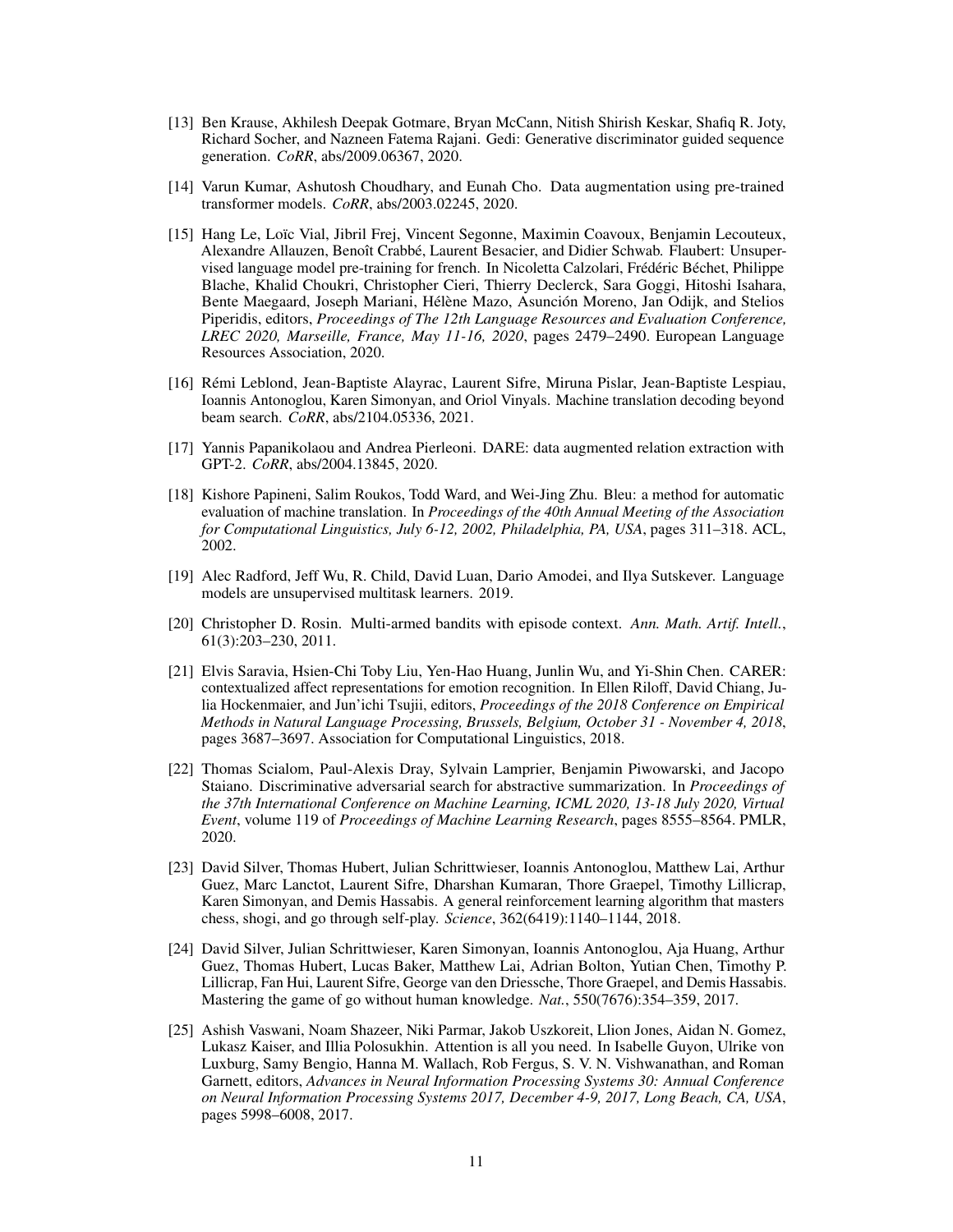- <span id="page-10-5"></span>[13] Ben Krause, Akhilesh Deepak Gotmare, Bryan McCann, Nitish Shirish Keskar, Shafiq R. Joty, Richard Socher, and Nazneen Fatema Rajani. Gedi: Generative discriminator guided sequence generation. *CoRR*, abs/2009.06367, 2020.
- <span id="page-10-2"></span>[14] Varun Kumar, Ashutosh Choudhary, and Eunah Cho. Data augmentation using pre-trained transformer models. *CoRR*, abs/2003.02245, 2020.
- <span id="page-10-11"></span>[15] Hang Le, Loïc Vial, Jibril Frej, Vincent Segonne, Maximin Coavoux, Benjamin Lecouteux, Alexandre Allauzen, Benoît Crabbé, Laurent Besacier, and Didier Schwab. Flaubert: Unsupervised language model pre-training for french. In Nicoletta Calzolari, Frédéric Béchet, Philippe Blache, Khalid Choukri, Christopher Cieri, Thierry Declerck, Sara Goggi, Hitoshi Isahara, Bente Maegaard, Joseph Mariani, Hélène Mazo, Asunción Moreno, Jan Odijk, and Stelios Piperidis, editors, *Proceedings of The 12th Language Resources and Evaluation Conference, LREC 2020, Marseille, France, May 11-16, 2020*, pages 2479–2490. European Language Resources Association, 2020.
- <span id="page-10-9"></span>[16] Rémi Leblond, Jean-Baptiste Alayrac, Laurent Sifre, Miruna Pislar, Jean-Baptiste Lespiau, Ioannis Antonoglou, Karen Simonyan, and Oriol Vinyals. Machine translation decoding beyond beam search. *CoRR*, abs/2104.05336, 2021.
- <span id="page-10-3"></span>[17] Yannis Papanikolaou and Andrea Pierleoni. DARE: data augmented relation extraction with GPT-2. *CoRR*, abs/2004.13845, 2020.
- <span id="page-10-10"></span>[18] Kishore Papineni, Salim Roukos, Todd Ward, and Wei-Jing Zhu. Bleu: a method for automatic evaluation of machine translation. In *Proceedings of the 40th Annual Meeting of the Association for Computational Linguistics, July 6-12, 2002, Philadelphia, PA, USA*, pages 311–318. ACL, 2002.
- <span id="page-10-1"></span>[19] Alec Radford, Jeff Wu, R. Child, David Luan, Dario Amodei, and Ilya Sutskever. Language models are unsupervised multitask learners. 2019.
- <span id="page-10-7"></span>[20] Christopher D. Rosin. Multi-armed bandits with episode context. *Ann. Math. Artif. Intell.*, 61(3):203–230, 2011.
- <span id="page-10-12"></span>[21] Elvis Saravia, Hsien-Chi Toby Liu, Yen-Hao Huang, Junlin Wu, and Yi-Shin Chen. CARER: contextualized affect representations for emotion recognition. In Ellen Riloff, David Chiang, Julia Hockenmaier, and Jun'ichi Tsujii, editors, *Proceedings of the 2018 Conference on Empirical Methods in Natural Language Processing, Brussels, Belgium, October 31 - November 4, 2018*, pages 3687–3697. Association for Computational Linguistics, 2018.
- <span id="page-10-4"></span>[22] Thomas Scialom, Paul-Alexis Dray, Sylvain Lamprier, Benjamin Piwowarski, and Jacopo Staiano. Discriminative adversarial search for abstractive summarization. In *Proceedings of the 37th International Conference on Machine Learning, ICML 2020, 13-18 July 2020, Virtual Event*, volume 119 of *Proceedings of Machine Learning Research*, pages 8555–8564. PMLR, 2020.
- <span id="page-10-6"></span>[23] David Silver, Thomas Hubert, Julian Schrittwieser, Ioannis Antonoglou, Matthew Lai, Arthur Guez, Marc Lanctot, Laurent Sifre, Dharshan Kumaran, Thore Graepel, Timothy Lillicrap, Karen Simonyan, and Demis Hassabis. A general reinforcement learning algorithm that masters chess, shogi, and go through self-play. *Science*, 362(6419):1140–1144, 2018.
- <span id="page-10-8"></span>[24] David Silver, Julian Schrittwieser, Karen Simonyan, Ioannis Antonoglou, Aja Huang, Arthur Guez, Thomas Hubert, Lucas Baker, Matthew Lai, Adrian Bolton, Yutian Chen, Timothy P. Lillicrap, Fan Hui, Laurent Sifre, George van den Driessche, Thore Graepel, and Demis Hassabis. Mastering the game of go without human knowledge. *Nat.*, 550(7676):354–359, 2017.
- <span id="page-10-0"></span>[25] Ashish Vaswani, Noam Shazeer, Niki Parmar, Jakob Uszkoreit, Llion Jones, Aidan N. Gomez, Lukasz Kaiser, and Illia Polosukhin. Attention is all you need. In Isabelle Guyon, Ulrike von Luxburg, Samy Bengio, Hanna M. Wallach, Rob Fergus, S. V. N. Vishwanathan, and Roman Garnett, editors, *Advances in Neural Information Processing Systems 30: Annual Conference on Neural Information Processing Systems 2017, December 4-9, 2017, Long Beach, CA, USA*, pages 5998–6008, 2017.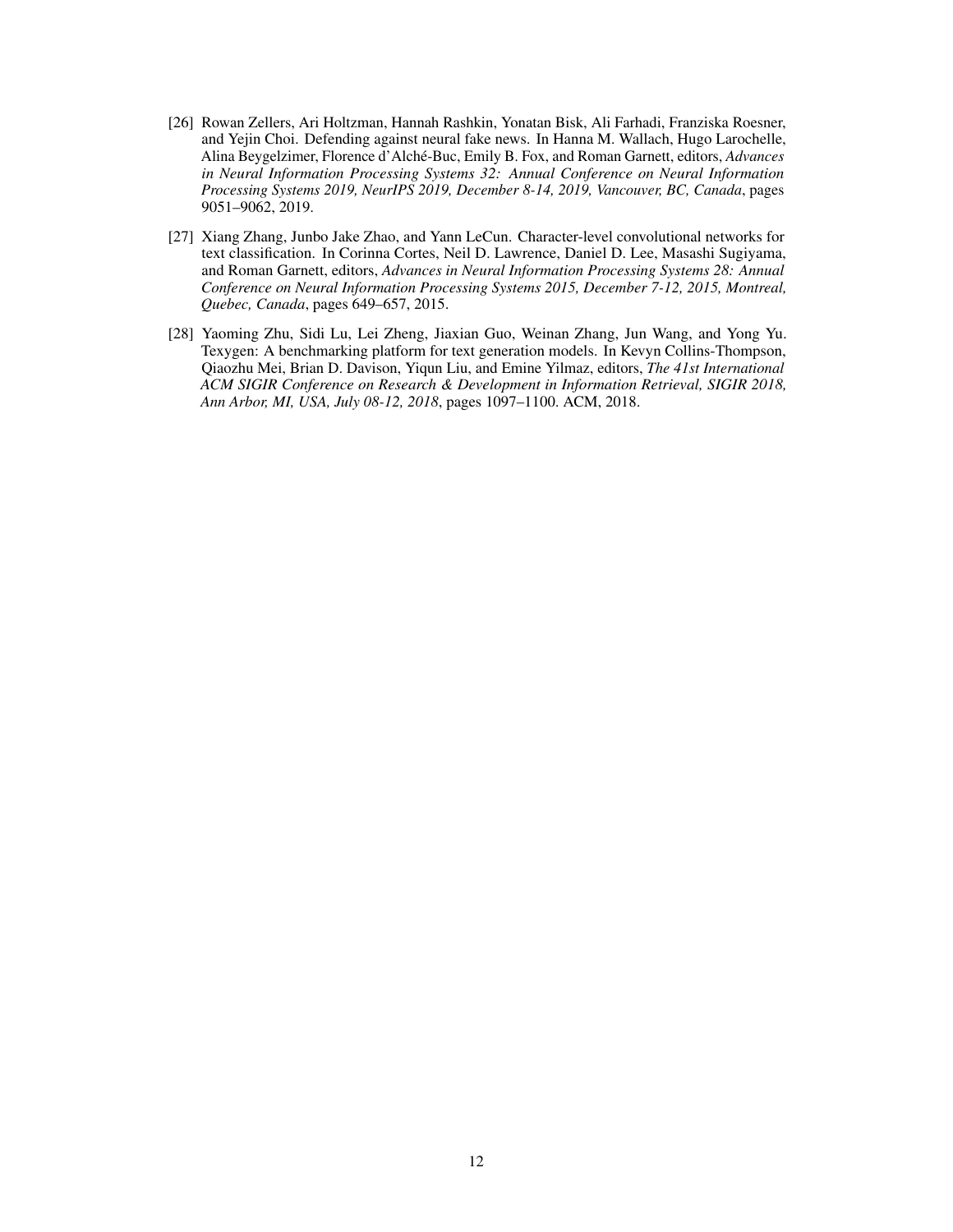- <span id="page-11-0"></span>[26] Rowan Zellers, Ari Holtzman, Hannah Rashkin, Yonatan Bisk, Ali Farhadi, Franziska Roesner, and Yejin Choi. Defending against neural fake news. In Hanna M. Wallach, Hugo Larochelle, Alina Beygelzimer, Florence d'Alché-Buc, Emily B. Fox, and Roman Garnett, editors, *Advances in Neural Information Processing Systems 32: Annual Conference on Neural Information Processing Systems 2019, NeurIPS 2019, December 8-14, 2019, Vancouver, BC, Canada*, pages 9051–9062, 2019.
- <span id="page-11-2"></span>[27] Xiang Zhang, Junbo Jake Zhao, and Yann LeCun. Character-level convolutional networks for text classification. In Corinna Cortes, Neil D. Lawrence, Daniel D. Lee, Masashi Sugiyama, and Roman Garnett, editors, *Advances in Neural Information Processing Systems 28: Annual Conference on Neural Information Processing Systems 2015, December 7-12, 2015, Montreal, Quebec, Canada*, pages 649–657, 2015.
- <span id="page-11-1"></span>[28] Yaoming Zhu, Sidi Lu, Lei Zheng, Jiaxian Guo, Weinan Zhang, Jun Wang, and Yong Yu. Texygen: A benchmarking platform for text generation models. In Kevyn Collins-Thompson, Qiaozhu Mei, Brian D. Davison, Yiqun Liu, and Emine Yilmaz, editors, *The 41st International ACM SIGIR Conference on Research & Development in Information Retrieval, SIGIR 2018, Ann Arbor, MI, USA, July 08-12, 2018*, pages 1097–1100. ACM, 2018.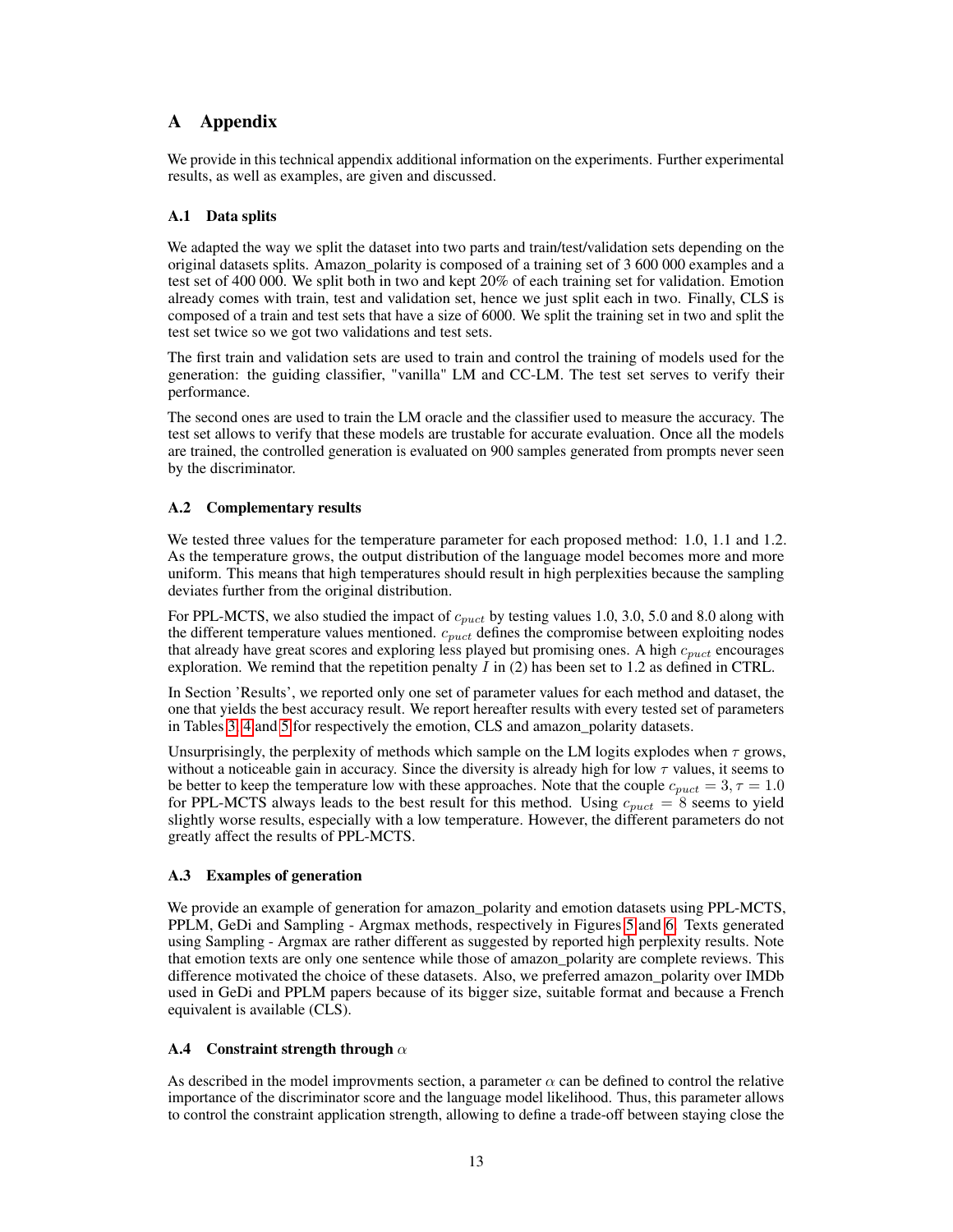# A Appendix

We provide in this technical appendix additional information on the experiments. Further experimental results, as well as examples, are given and discussed.

## A.1 Data splits

We adapted the way we split the dataset into two parts and train/test/validation sets depending on the original datasets splits. Amazon\_polarity is composed of a training set of 3 600 000 examples and a test set of 400 000. We split both in two and kept 20% of each training set for validation. Emotion already comes with train, test and validation set, hence we just split each in two. Finally, CLS is composed of a train and test sets that have a size of 6000. We split the training set in two and split the test set twice so we got two validations and test sets.

The first train and validation sets are used to train and control the training of models used for the generation: the guiding classifier, "vanilla" LM and CC-LM. The test set serves to verify their performance.

The second ones are used to train the LM oracle and the classifier used to measure the accuracy. The test set allows to verify that these models are trustable for accurate evaluation. Once all the models are trained, the controlled generation is evaluated on 900 samples generated from prompts never seen by the discriminator.

# A.2 Complementary results

We tested three values for the temperature parameter for each proposed method: 1.0, 1.1 and 1.2. As the temperature grows, the output distribution of the language model becomes more and more uniform. This means that high temperatures should result in high perplexities because the sampling deviates further from the original distribution.

For PPL-MCTS, we also studied the impact of  $c_{puct}$  by testing values 1.0, 3.0, 5.0 and 8.0 along with the different temperature values mentioned.  $c_{puct}$  defines the compromise between exploiting nodes that already have great scores and exploring less played but promising ones. A high  $c_{puct}$  encourages exploration. We remind that the repetition penalty  $I$  in (2) has been set to 1.2 as defined in CTRL.

In Section 'Results', we reported only one set of parameter values for each method and dataset, the one that yields the best accuracy result. We report hereafter results with every tested set of parameters in Tables [3,](#page-15-0) [4](#page-16-0) and [5](#page-17-0) for respectively the emotion, CLS and amazon\_polarity datasets.

Unsurprisingly, the perplexity of methods which sample on the LM logits explodes when  $\tau$  grows, without a noticeable gain in accuracy. Since the diversity is already high for low  $\tau$  values, it seems to be better to keep the temperature low with these approaches. Note that the couple  $c_{puct} = 3, \tau = 1.0$ for PPL-MCTS always leads to the best result for this method. Using  $c_{puct} = 8$  seems to yield slightly worse results, especially with a low temperature. However, the different parameters do not greatly affect the results of PPL-MCTS.

### A.3 Examples of generation

We provide an example of generation for amazon\_polarity and emotion datasets using PPL-MCTS, PPLM, GeDi and Sampling - Argmax methods, respectively in Figures [5](#page-13-0) and [6.](#page-13-1) Texts generated using Sampling - Argmax are rather different as suggested by reported high perplexity results. Note that emotion texts are only one sentence while those of amazon\_polarity are complete reviews. This difference motivated the choice of these datasets. Also, we preferred amazon\_polarity over IMDb used in GeDi and PPLM papers because of its bigger size, suitable format and because a French equivalent is available (CLS).

### <span id="page-12-0"></span>A.4 Constraint strength through  $\alpha$

As described in the model improvments section, a parameter  $\alpha$  can be defined to control the relative importance of the discriminator score and the language model likelihood. Thus, this parameter allows to control the constraint application strength, allowing to define a trade-off between staying close the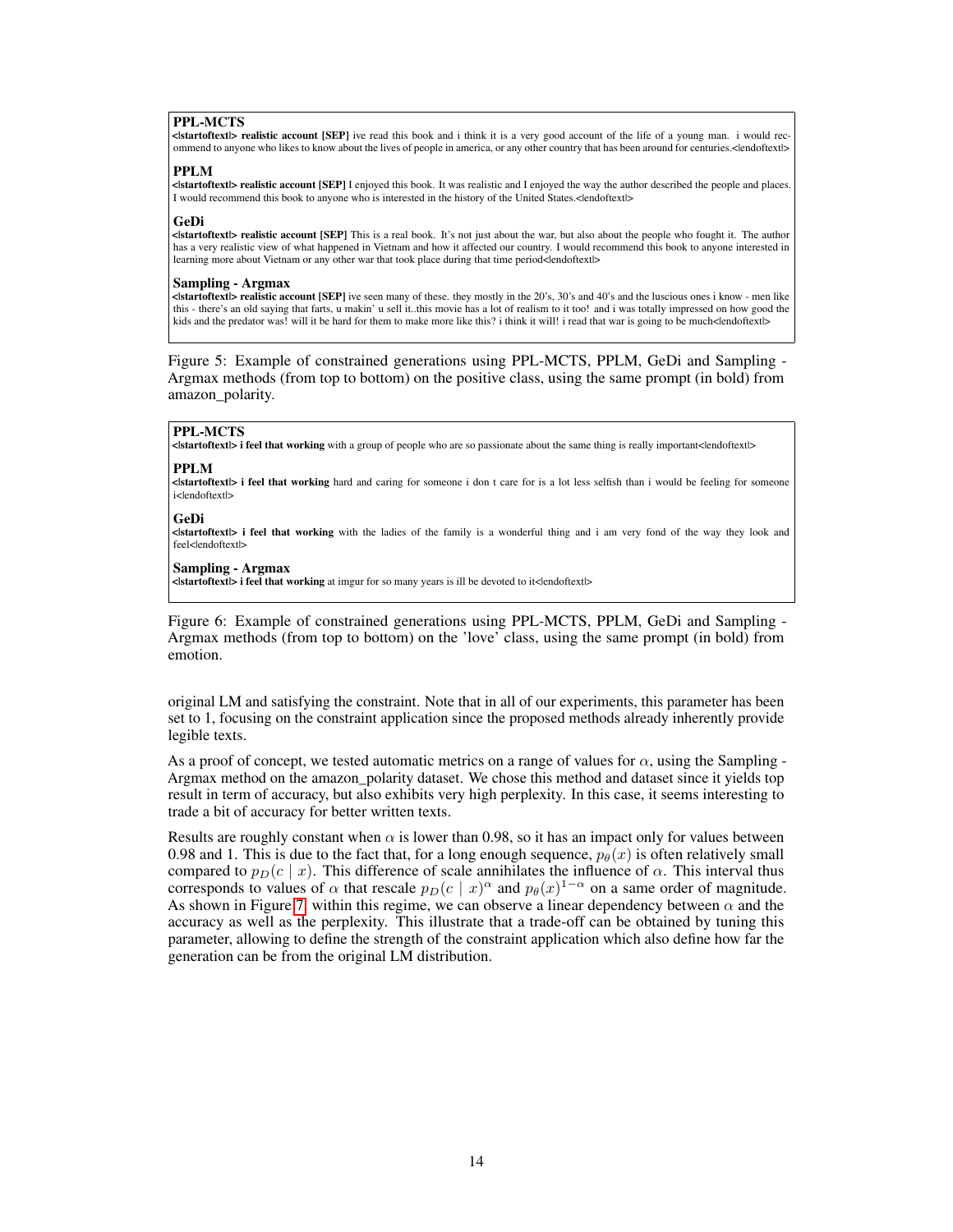### PPL-MCTS

<|startoftext|> realistic account [SEP] ive read this book and i think it is a very good account of the life of a young man. i would recommend to anyone who likes to know about the lives of people in america, or any other country that has been around for centuries.< | endoftext|>

### PPLM

<|startoftext|> realistic account [SEP] I enjoyed this book. It was realistic and I enjoyed the way the author described the people and places. I would recommend this book to anyone who is interested in the history of the United States.</endoftextl>

#### GeDi

<|startoftext|> realistic account [SEP] This is a real book. It's not just about the war, but also about the people who fought it. The author has a very realistic view of what happened in Vietnam and how it affected our country. I would recommend this book to anyone interested in learning more about Vietnam or any other war that took place during that time period</r></r>adoftext

#### Sampling - Argmax

<|startoftext|> realistic account [SEP] ive seen many of these. they mostly in the 20's, 30's and 40's and the luscious ones i know - men like this - there's an old saying that farts, u makin' u sell it..this movie has a lot of realism to it too! and i was totally impressed on how good the kids and the predator was! will it be hard for them to make more like this? i think it will! i read that war is going to be much</r></reduction-

<span id="page-13-0"></span>Figure 5: Example of constrained generations using PPL-MCTS, PPLM, GeDi and Sampling - Argmax methods (from top to bottom) on the positive class, using the same prompt (in bold) from amazon\_polarity.

#### PPL-MCTS

<|startoftext|> i feel that working with a group of people who are so passionate about the same thing is really important<|endoftext|>

### PPLM

<|startoftext|> i feel that working hard and caring for someone i don t care for is a lot less selfish than i would be feeling for someone i<lendoftextl>

#### GeDi

<|startoftext|> i feel that working with the ladies of the family is a wonderful thing and i am very fond of the way they look and feel<lendoftextl>

#### Sampling - Argmax

<|startoftext|> i feel that working at imgur for so many years is ill be devoted to it<|endoftext|>

<span id="page-13-1"></span>Figure 6: Example of constrained generations using PPL-MCTS, PPLM, GeDi and Sampling - Argmax methods (from top to bottom) on the 'love' class, using the same prompt (in bold) from emotion.

original LM and satisfying the constraint. Note that in all of our experiments, this parameter has been set to 1, focusing on the constraint application since the proposed methods already inherently provide legible texts.

As a proof of concept, we tested automatic metrics on a range of values for  $\alpha$ , using the Sampling -Argmax method on the amazon\_polarity dataset. We chose this method and dataset since it yields top result in term of accuracy, but also exhibits very high perplexity. In this case, it seems interesting to trade a bit of accuracy for better written texts.

Results are roughly constant when  $\alpha$  is lower than 0.98, so it has an impact only for values between 0.98 and 1. This is due to the fact that, for a long enough sequence,  $p_{\theta}(x)$  is often relatively small compared to  $p_D(c \mid x)$ . This difference of scale annihilates the influence of  $\alpha$ . This interval thus corresponds to values of  $\alpha$  that rescale  $p_D(c \mid x)^\alpha$  and  $p_\theta(x)^{1-\alpha}$  on a same order of magnitude. As shown in Figure [7,](#page-14-0) within this regime, we can observe a linear dependency between  $\alpha$  and the accuracy as well as the perplexity. This illustrate that a trade-off can be obtained by tuning this parameter, allowing to define the strength of the constraint application which also define how far the generation can be from the original LM distribution.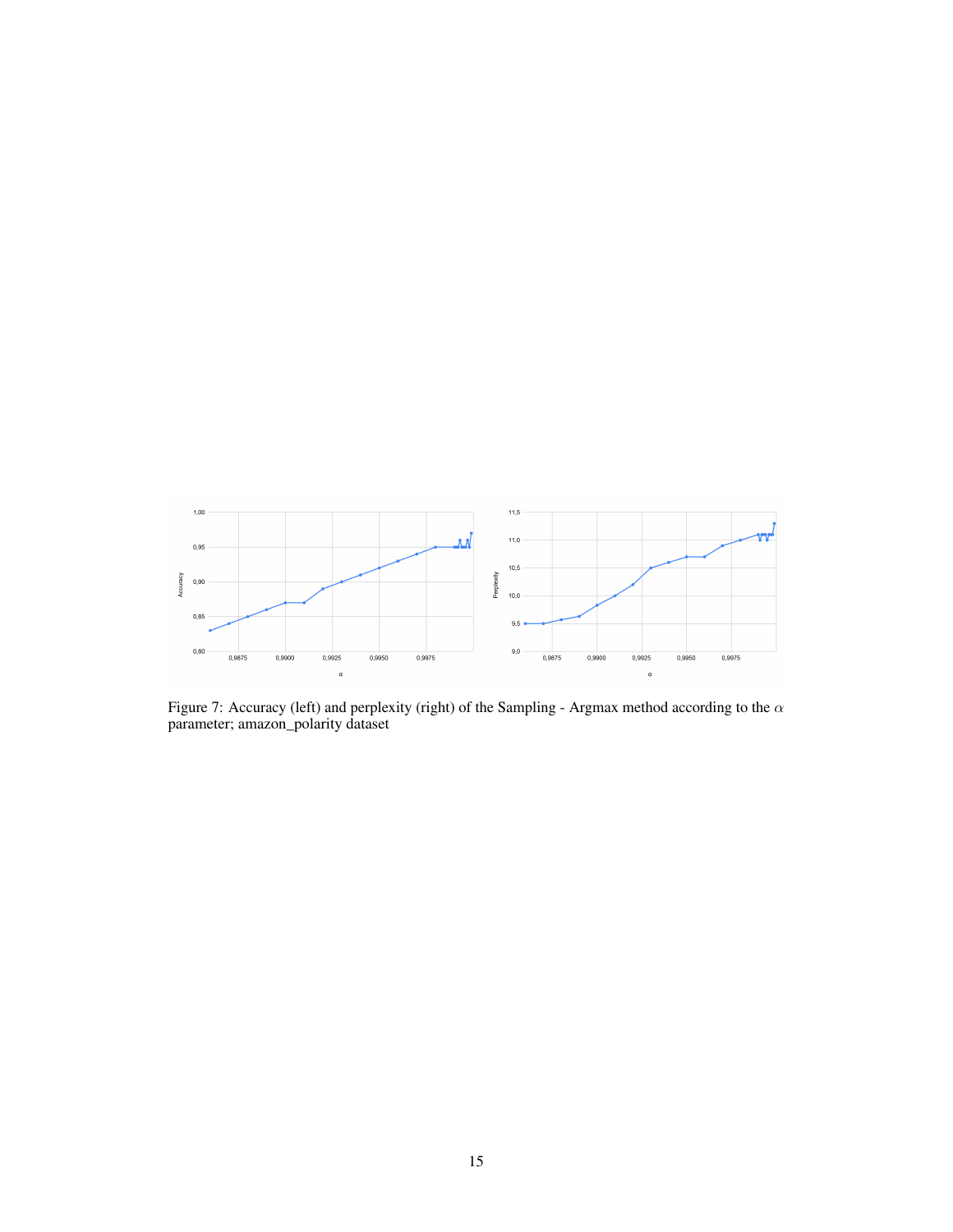

<span id="page-14-0"></span>Figure 7: Accuracy (left) and perplexity (right) of the Sampling - Argmax method according to the  $\alpha$ parameter; amazon\_polarity dataset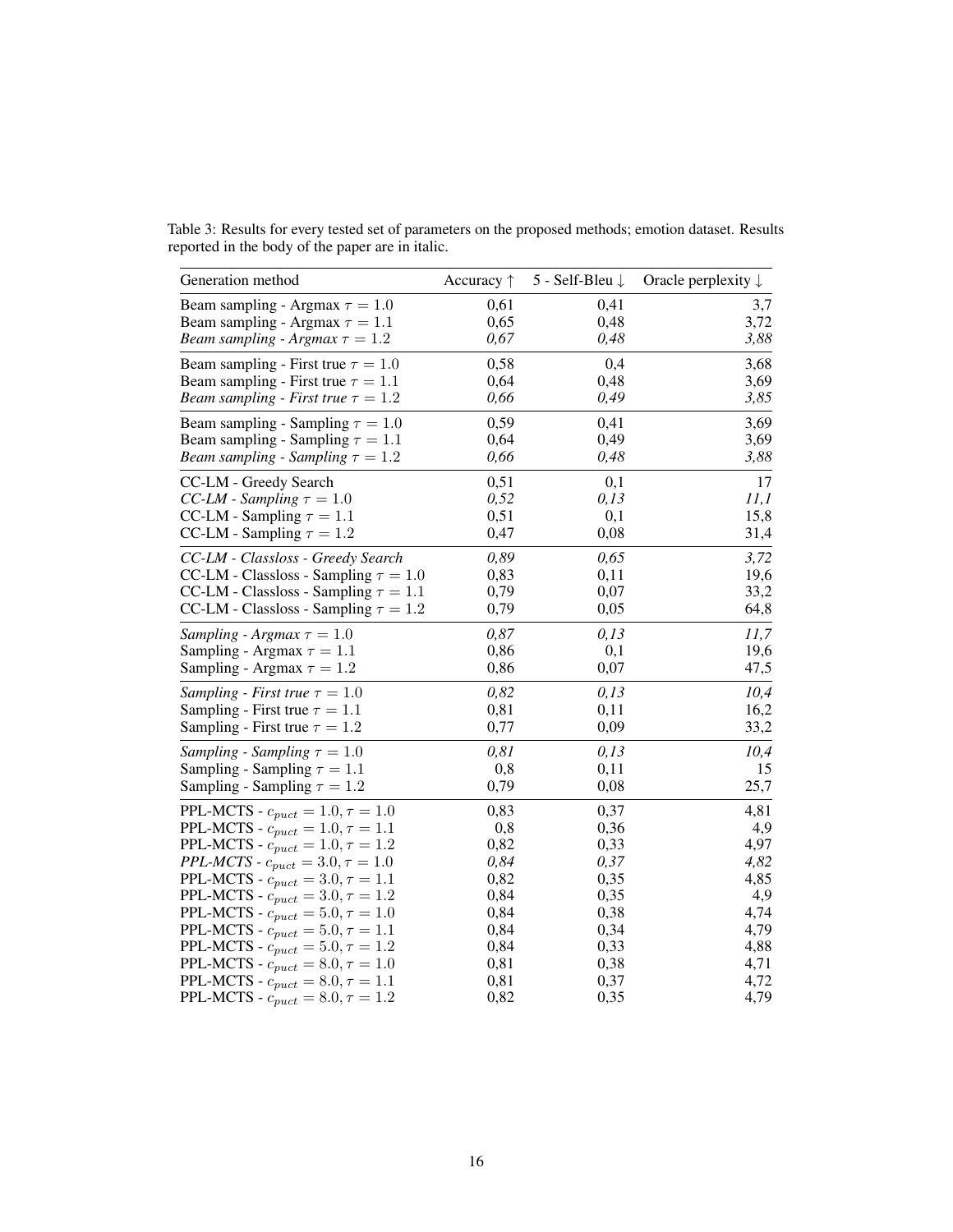<span id="page-15-0"></span>Table 3: Results for every tested set of parameters on the proposed methods; emotion dataset. Results reported in the body of the paper are in italic.

| Generation method                                         | Accuracy $\uparrow$ | 5 - Self-Bleu $\downarrow$ | Oracle perplexity $\downarrow$ |
|-----------------------------------------------------------|---------------------|----------------------------|--------------------------------|
| Beam sampling - Argmax $\tau = 1.0$                       | 0,61                | 0,41                       | 3,7                            |
| Beam sampling - Argmax $\tau = 1.1$                       | 0,65                | 0,48                       | 3,72                           |
| Beam sampling - Argmax $\tau = 1.2$                       | 0,67                | 0,48                       | 3,88                           |
| Beam sampling - First true $\tau = 1.0$                   | 0,58                | 0,4                        | 3,68                           |
| Beam sampling - First true $\tau = 1.1$                   | 0,64                | 0,48                       | 3,69                           |
| Beam sampling - First true $\tau = 1.2$                   | 0,66                | 0,49                       | 3,85                           |
| Beam sampling - Sampling $\tau = 1.0$                     | 0,59                | 0,41                       | 3,69                           |
| Beam sampling - Sampling $\tau = 1.1$                     | 0,64                | 0,49                       | 3,69                           |
| Beam sampling - Sampling $\tau = 1.2$                     | 0,66                | 0,48                       | 3,88                           |
| CC-LM - Greedy Search                                     | 0,51                | 0,1                        | 17                             |
| CC-LM - Sampling $\tau = 1.0$                             | 0,52                | 0,13                       | 11,1                           |
| CC-LM - Sampling $\tau = 1.1$                             | 0,51                | 0,1                        | 15,8                           |
| CC-LM - Sampling $\tau = 1.2$                             | 0,47                | 0,08                       | 31,4                           |
| CC-LM - Classloss - Greedy Search                         | 0,89                | 0,65                       | 3,72                           |
| CC-LM - Classloss - Sampling $\tau=1.0$                   | 0,83                | 0,11                       | 19,6                           |
| CC-LM - Classloss - Sampling $\tau = 1.1$                 | 0,79                | 0,07                       | 33,2                           |
| CC-LM - Classloss - Sampling $\tau = 1.2$                 | 0,79                | 0,05                       | 64,8                           |
| Sampling - Argmax $\tau = 1.0$                            | 0,87                | 0,13                       | 11,7                           |
| Sampling - Argmax $\tau = 1.1$                            | 0,86                | 0,1                        | 19,6                           |
| Sampling - Argmax $\tau = 1.2$                            | 0,86                | 0,07                       | 47,5                           |
| Sampling - First true $\tau = 1.0$                        | 0,82                | 0,13                       | 10,4                           |
| Sampling - First true $\tau = 1.1$                        | 0,81                | 0,11                       | 16,2                           |
| Sampling - First true $\tau = 1.2$                        | 0,77                | 0,09                       | 33,2                           |
| Sampling - Sampling $\tau = 1.0$                          | 0,81                | 0,13                       | 10,4                           |
| Sampling - Sampling $\tau = 1.1$                          | 0,8                 | 0,11                       | 15                             |
| Sampling - Sampling $\tau = 1.2$                          | 0,79                | 0,08                       | 25,7                           |
| PPL-MCTS - $c_{puct} = 1.0, \tau = 1.0$                   | 0,83                | 0,37                       | 4,81                           |
| PPL-MCTS - $c_{puct} = 1.0, \tau = 1.1$                   | 0,8                 | 0,36                       | 4,9                            |
| PPL-MCTS - $c_{puct} = 1.0, \tau = 1.2$                   | 0,82                | 0,33                       | 4,97                           |
| <i>PPL-MCTS - <math>c_{puct} = 3.0, \tau = 1.0</math></i> | 0,84                | 0,37                       | 4,82                           |
| PPL-MCTS - $c_{puct} = 3.0, \tau = 1.1$                   | 0,82                | 0,35                       | 4,85                           |
| PPL-MCTS - $c_{puct} = 3.0, \tau = 1.2$                   | 0,84                | 0,35                       | 4,9                            |
| PPL-MCTS - $c_{puct} = 5.0, \tau = 1.0$                   | 0,84                | 0,38                       | 4,74                           |
| PPL-MCTS - $c_{puct} = 5.0, \tau = 1.1$                   | 0,84                | 0,34                       | 4,79                           |
| PPL-MCTS - $c_{puct} = 5.0, \tau = 1.2$                   | 0,84                | 0,33                       | 4,88                           |
| PPL-MCTS - $c_{puct} = 8.0, \tau = 1.0$                   | 0,81                | 0,38                       | 4,71                           |
| PPL-MCTS - $c_{puct} = 8.0, \tau = 1.1$                   | 0,81                | 0,37                       | 4,72                           |
| PPL-MCTS - $c_{puct} = 8.0, \tau = 1.2$                   | 0,82                | 0,35                       | 4,79                           |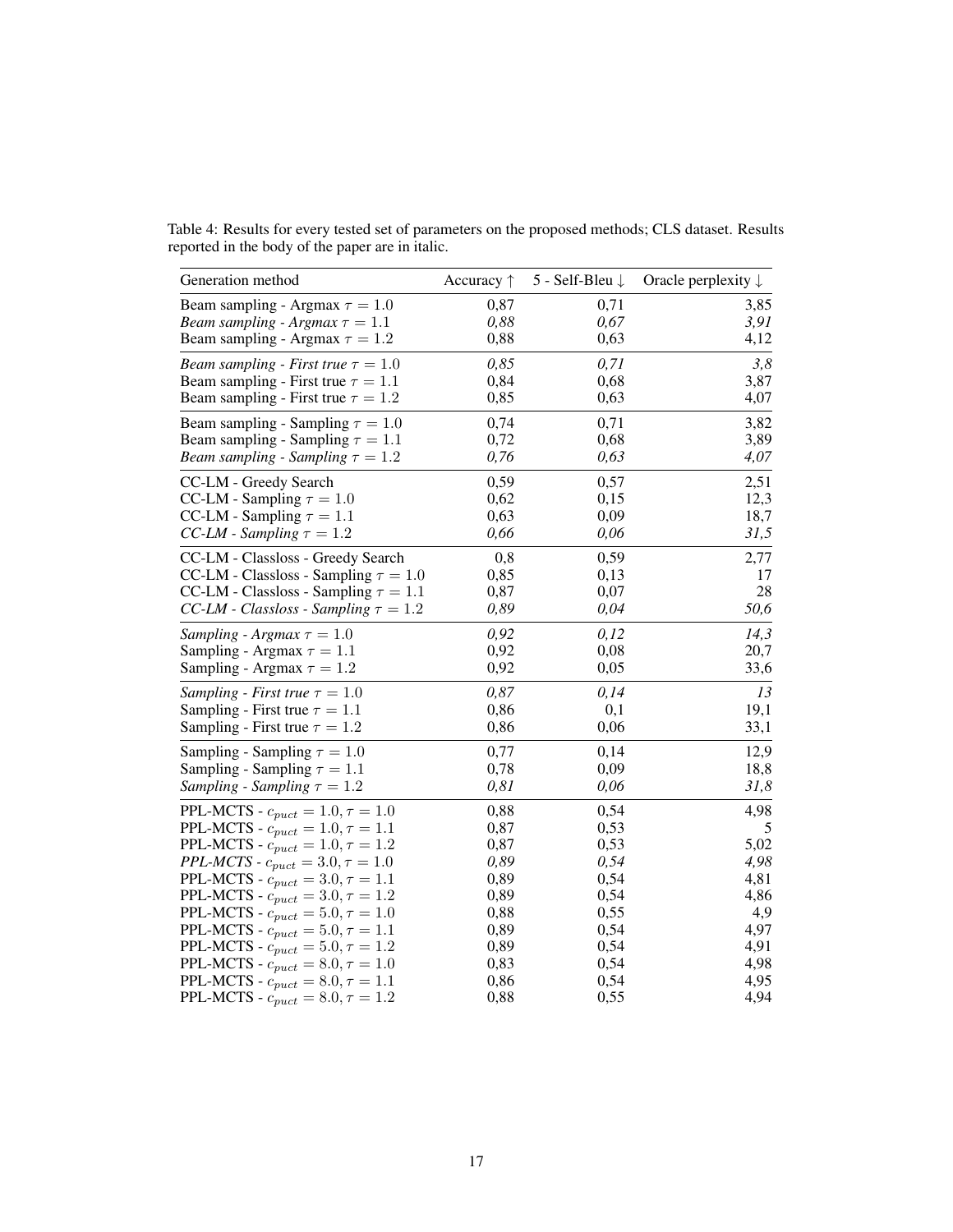<span id="page-16-0"></span>

|                                                  |  | Table 4: Results for every tested set of parameters on the proposed methods; CLS dataset. Results |  |  |  |
|--------------------------------------------------|--|---------------------------------------------------------------------------------------------------|--|--|--|
| reported in the body of the paper are in italic. |  |                                                                                                   |  |  |  |

| Generation method                                         | Accuracy $\uparrow$ | 5 - Self-Bleu ↓ | Oracle perplexity $\downarrow$ |
|-----------------------------------------------------------|---------------------|-----------------|--------------------------------|
| Beam sampling - Argmax $\tau = 1.0$                       | 0,87                | 0,71            | 3,85                           |
| Beam sampling - Argmax $\tau = 1.1$                       | 0,88                | 0,67            | 3,91                           |
| Beam sampling - Argmax $\tau = 1.2$                       | 0,88                | 0,63            | 4,12                           |
| <i>Beam sampling - First true</i> $\tau = 1.0$            | 0,85                | 0,71            | 3,8                            |
| Beam sampling - First true $\tau = 1.1$                   | 0,84                | 0,68            | 3,87                           |
| Beam sampling - First true $\tau = 1.2$                   | 0,85                | 0,63            | 4,07                           |
| Beam sampling - Sampling $\tau = 1.0$                     | 0,74                | 0,71            | 3,82                           |
| Beam sampling - Sampling $\tau = 1.1$                     | 0,72                | 0,68            | 3,89                           |
| Beam sampling - Sampling $\tau = 1.2$                     | 0,76                | 0,63            | 4,07                           |
| CC-LM - Greedy Search                                     | 0,59                | 0,57            | 2,51                           |
| CC-LM - Sampling $\tau = 1.0$                             | 0,62                | 0,15            | 12,3                           |
| CC-LM - Sampling $\tau = 1.1$                             | 0,63                | 0,09            | 18,7                           |
| CC-LM - Sampling $\tau = 1.2$                             | 0,66                | 0,06            | 31,5                           |
| CC-LM - Classloss - Greedy Search                         | 0,8                 | 0,59            | 2,77                           |
| CC-LM - Classloss - Sampling $\tau = 1.0$                 | 0,85                | 0,13            | 17                             |
| CC-LM - Classloss - Sampling $\tau = 1.1$                 | 0,87                | 0,07            | 28                             |
| CC-LM - Classloss - Sampling $\tau = 1.2$                 | 0,89                | 0,04            | 50,6                           |
| Sampling - Argmax $\tau = 1.0$                            | 0,92                | 0,12            | 14,3                           |
| Sampling - Argmax $\tau = 1.1$                            | 0,92                | 0,08            | 20,7                           |
| Sampling - Argmax $\tau = 1.2$                            | 0,92                | 0,05            | 33,6                           |
| Sampling - First true $\tau = 1.0$                        | 0,87                | 0,14            | 13                             |
| Sampling - First true $\tau = 1.1$                        | 0,86                | 0,1             | 19,1                           |
| Sampling - First true $\tau = 1.2$                        | 0,86                | 0,06            | 33,1                           |
| Sampling - Sampling $\tau = 1.0$                          | 0,77                | 0,14            | 12,9                           |
| Sampling - Sampling $\tau = 1.1$                          | 0,78                | 0,09            | 18,8                           |
| Sampling - Sampling $\tau = 1.2$                          | 0,81                | 0,06            | 31,8                           |
| PPL-MCTS - $c_{puct} = 1.0, \tau = 1.0$                   | 0,88                | 0,54            | 4,98                           |
| PPL-MCTS - $c_{puct} = 1.0, \tau = 1.1$                   | 0,87                | 0,53            | 5                              |
| PPL-MCTS - $c_{puct} = 1.0, \tau = 1.2$                   | 0,87                | 0,53            | 5,02                           |
| <i>PPL-MCTS - <math>c_{puct} = 3.0, \tau = 1.0</math></i> | 0,89                | 0,54            | 4,98                           |
| PPL-MCTS - $c_{puct} = 3.0, \tau = 1.1$                   | 0,89                | 0,54            | 4,81                           |
| PPL-MCTS - $c_{puct} = 3.0, \tau = 1.2$                   | 0,89                | 0,54            | 4,86                           |
| PPL-MCTS - $c_{puct} = 5.0, \tau = 1.0$                   | 0,88                | 0,55            | 4,9                            |
| PPL-MCTS - $c_{puct} = 5.0, \tau = 1.1$                   | 0,89                | 0,54            | 4,97                           |
| PPL-MCTS - $c_{puct} = 5.0, \tau = 1.2$                   | 0,89                | 0,54            | 4,91                           |
| PPL-MCTS - $c_{puct} = 8.0, \tau = 1.0$                   | 0,83                | 0,54            | 4,98                           |
| PPL-MCTS - $c_{puct} = 8.0, \tau = 1.1$                   | 0,86                | 0,54            | 4,95                           |
| PPL-MCTS - $c_{puct} = 8.0, \tau = 1.2$                   | 0,88                | 0,55            | 4,94                           |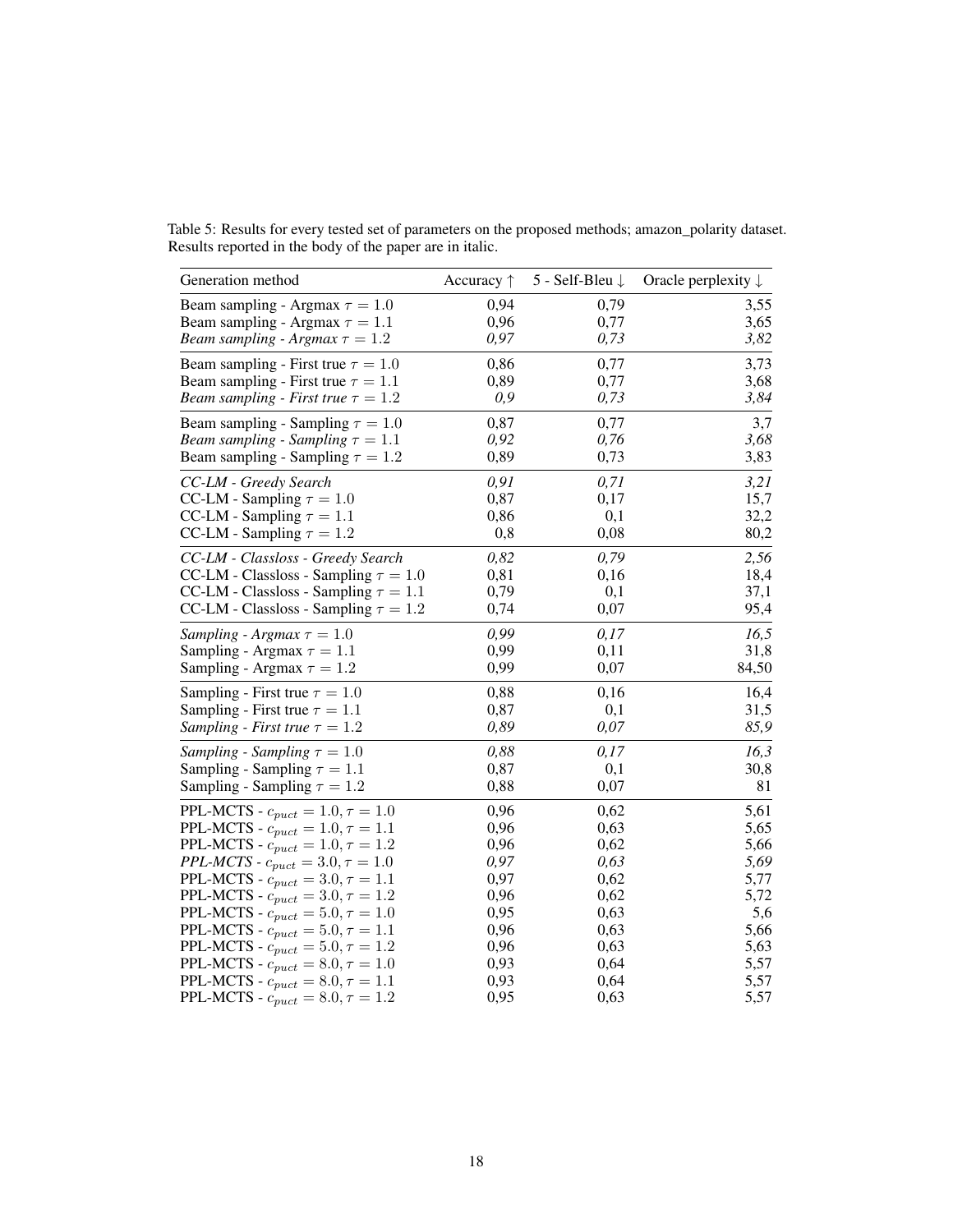<span id="page-17-0"></span>Table 5: Results for every tested set of parameters on the proposed methods; amazon\_polarity dataset. Results reported in the body of the paper are in italic.

| Generation method                                         | Accuracy $\uparrow$ | 5 - Self-Bleu ↓ | Oracle perplexity $\downarrow$ |
|-----------------------------------------------------------|---------------------|-----------------|--------------------------------|
| Beam sampling - Argmax $\tau = 1.0$                       | 0,94                | 0,79            | 3,55                           |
| Beam sampling - Argmax $\tau = 1.1$                       | 0,96                | 0,77            | 3,65                           |
| Beam sampling - Argmax $\tau = 1.2$                       | 0,97                | 0,73            | 3,82                           |
| Beam sampling - First true $\tau = 1.0$                   | 0,86                | 0,77            | 3,73                           |
| Beam sampling - First true $\tau = 1.1$                   | 0,89                | 0,77            | 3,68                           |
| <i>Beam sampling - First true</i> $\tau = 1.2$            | 0,9                 | 0,73            | 3,84                           |
| Beam sampling - Sampling $\tau = 1.0$                     | 0,87                | 0,77            | 3,7                            |
| Beam sampling - Sampling $\tau = 1.1$                     | 0,92                | 0,76            | 3,68                           |
| Beam sampling - Sampling $\tau = 1.2$                     | 0,89                | 0,73            | 3,83                           |
| CC-LM - Greedy Search                                     | 0,91                | 0,71            | 3,21                           |
| CC-LM - Sampling $\tau = 1.0$                             | 0,87                | 0,17            | 15,7                           |
| CC-LM - Sampling $\tau = 1.1$                             | 0,86                | 0,1             | 32,2                           |
| CC-LM - Sampling $\tau = 1.2$                             | 0,8                 | 0,08            | 80,2                           |
| CC-LM - Classloss - Greedy Search                         | 0,82                | 0,79            | 2,56                           |
| CC-LM - Classloss - Sampling $\tau=1.0$                   | 0,81                | 0,16            | 18,4                           |
| CC-LM - Classloss - Sampling $\tau = 1.1$                 | 0,79                | 0,1             | 37,1                           |
| CC-LM - Classloss - Sampling $\tau = 1.2$                 | 0,74                | 0,07            | 95,4                           |
| Sampling - Argmax $\tau = 1.0$                            | 0,99                | 0,17            | 16,5                           |
| Sampling - Argmax $\tau = 1.1$                            | 0,99                | 0,11            | 31,8                           |
| Sampling - Argmax $\tau = 1.2$                            | 0,99                | 0,07            | 84,50                          |
| Sampling - First true $\tau = 1.0$                        | 0,88                | 0,16            | 16,4                           |
| Sampling - First true $\tau = 1.1$                        | 0,87                | 0,1             | 31,5                           |
| Sampling - First true $\tau = 1.2$                        | 0,89                | 0,07            | 85,9                           |
| Sampling - Sampling $\tau = 1.0$                          | 0,88                | 0,17            | 16,3                           |
| Sampling - Sampling $\tau = 1.1$                          | 0,87                | 0,1             | 30,8                           |
| Sampling - Sampling $\tau = 1.2$                          | 0,88                | 0,07            | 81                             |
| PPL-MCTS - $c_{puct} = 1.0, \tau = 1.0$                   | 0,96                | 0,62            | 5,61                           |
| PPL-MCTS - $c_{puct} = 1.0, \tau = 1.1$                   | 0,96                | 0,63            | 5,65                           |
| PPL-MCTS - $c_{puct} = 1.0, \tau = 1.2$                   | 0,96                | 0,62            | 5,66                           |
| <i>PPL-MCTS - <math>c_{puct} = 3.0, \tau = 1.0</math></i> | 0,97                | 0,63            | 5,69                           |
| PPL-MCTS - $c_{puct} = 3.0, \tau = 1.1$                   | 0,97                | 0,62            | 5,77                           |
| PPL-MCTS - $c_{puct} = 3.0, \tau = 1.2$                   | 0,96                | 0,62            | 5,72                           |
| PPL-MCTS - $c_{puct} = 5.0, \tau = 1.0$                   | 0,95                | 0,63            | 5,6                            |
| PPL-MCTS - $c_{puct} = 5.0, \tau = 1.1$                   | 0,96                | 0,63            | 5,66                           |
| PPL-MCTS - $c_{puct} = 5.0, \tau = 1.2$                   | 0,96                | 0,63            | 5,63                           |
| PPL-MCTS - $c_{puct} = 8.0, \tau = 1.0$                   | 0,93                | 0,64            | 5,57                           |
| PPL-MCTS - $c_{puct} = 8.0, \tau = 1.1$                   | 0,93                | 0,64            | 5,57                           |
| PPL-MCTS - $c_{puct} = 8.0, \tau = 1.2$                   | 0,95                | 0,63            | 5,57                           |